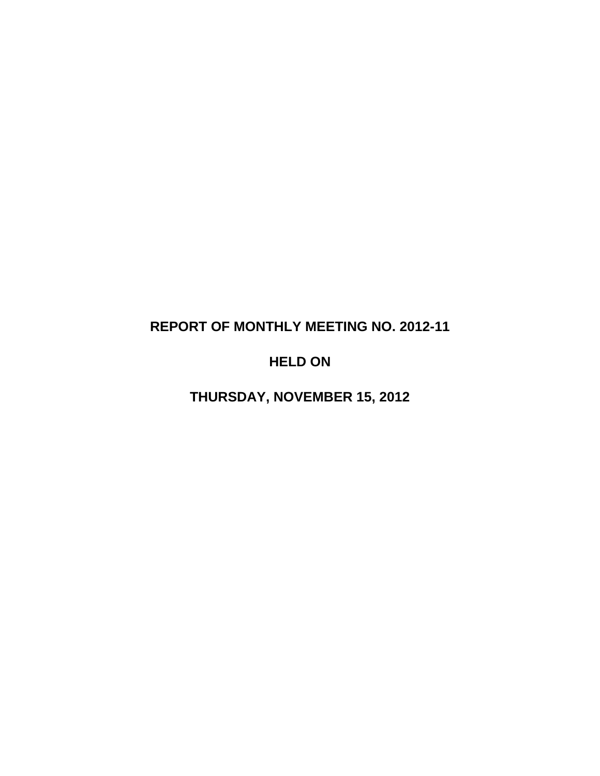# **REPORT OF MONTHLY MEETING NO. 2012-11**

## **HELD ON**

**THURSDAY, NOVEMBER 15, 2012**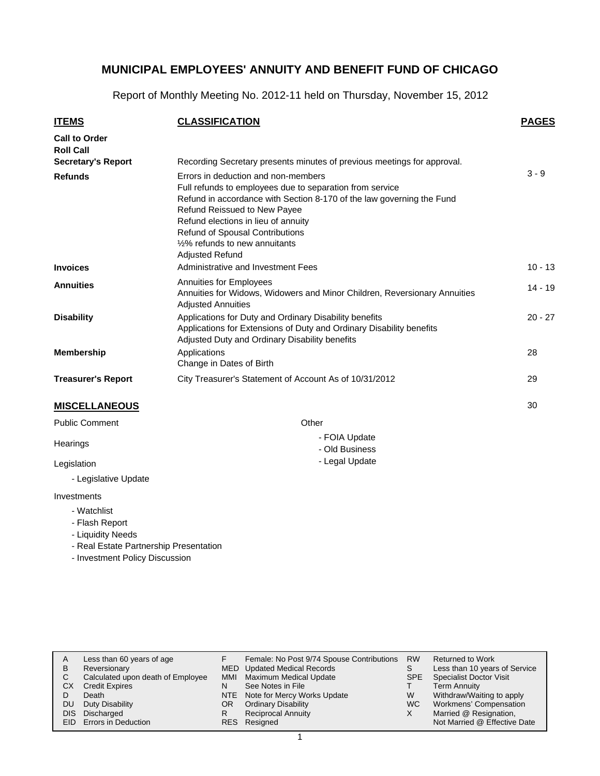Report of Monthly Meeting No. 2012-11 held on Thursday, November 15, 2012

| <b>ITEMS</b>                             | <b>CLASSIFICATION</b>                                                                                                                                                                                                                                                                                                                          | <b>PAGES</b> |
|------------------------------------------|------------------------------------------------------------------------------------------------------------------------------------------------------------------------------------------------------------------------------------------------------------------------------------------------------------------------------------------------|--------------|
| <b>Call to Order</b><br><b>Roll Call</b> |                                                                                                                                                                                                                                                                                                                                                |              |
| <b>Secretary's Report</b>                | Recording Secretary presents minutes of previous meetings for approval.                                                                                                                                                                                                                                                                        |              |
| <b>Refunds</b>                           | Errors in deduction and non-members<br>Full refunds to employees due to separation from service<br>Refund in accordance with Section 8-170 of the law governing the Fund<br>Refund Reissued to New Payee<br>Refund elections in lieu of annuity<br>Refund of Spousal Contributions<br>1/2% refunds to new annuitants<br><b>Adjusted Refund</b> | $3 - 9$      |
| <b>Invoices</b>                          | Administrative and Investment Fees                                                                                                                                                                                                                                                                                                             | $10 - 13$    |
| <b>Annuities</b>                         | Annuities for Employees<br>Annuities for Widows, Widowers and Minor Children, Reversionary Annuities<br><b>Adjusted Annuities</b>                                                                                                                                                                                                              | $14 - 19$    |
| <b>Disability</b>                        | Applications for Duty and Ordinary Disability benefits<br>Applications for Extensions of Duty and Ordinary Disability benefits<br>Adjusted Duty and Ordinary Disability benefits                                                                                                                                                               | $20 - 27$    |
| Membership                               | Applications<br>Change in Dates of Birth                                                                                                                                                                                                                                                                                                       | 28           |
| <b>Treasurer's Report</b>                | City Treasurer's Statement of Account As of 10/31/2012                                                                                                                                                                                                                                                                                         | 29           |
| <b>MISCELLANEOUS</b>                     |                                                                                                                                                                                                                                                                                                                                                | 30           |
| <b>Public Comment</b>                    | Other                                                                                                                                                                                                                                                                                                                                          |              |

- FOIA Update - Old Business - Legal Update

| <b>Public Comment</b> |  |
|-----------------------|--|

**Hearings** 

Legislation

- Legislative Update

#### Investments

- Watchlist
- Flash Report
- Liquidity Needs
- Real Estate Partnership Presentation
- Investment Policy Discussion

| А<br>в<br>С | Less than 60 years of age<br>Reversionary<br>Calculated upon death of Employee | <b>MMI</b> | Female: No Post 9/74 Spouse Contributions<br><b>MED</b> Updated Medical Records<br><b>Maximum Medical Update</b> | <b>RW</b><br>SPE | <b>Returned to Work</b><br>Less than 10 years of Service<br><b>Specialist Doctor Visit</b> |
|-------------|--------------------------------------------------------------------------------|------------|------------------------------------------------------------------------------------------------------------------|------------------|--------------------------------------------------------------------------------------------|
| CХ          | <b>Credit Expires</b>                                                          | N          | See Notes in File                                                                                                |                  | <b>Term Annuity</b>                                                                        |
|             | Death                                                                          |            | NTE Note for Mercy Works Update                                                                                  | W                | Withdraw/Waiting to apply                                                                  |
| DU          | Duty Disability                                                                | OR.        | <b>Ordinary Disability</b>                                                                                       | WC.              | Workmens' Compensation                                                                     |
| DIS.        | Discharged                                                                     |            | <b>Reciprocal Annuity</b>                                                                                        | Χ                | Married @ Resignation,                                                                     |
|             | EID Errors in Deduction                                                        |            | RES Resigned                                                                                                     |                  | Not Married @ Effective Date                                                               |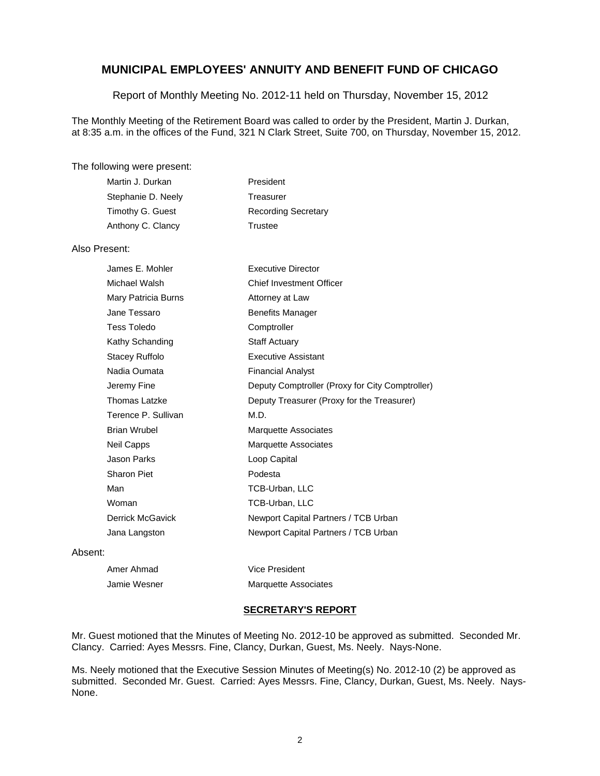#### Report of Monthly Meeting No. 2012-11 held on Thursday, November 15, 2012

The Monthly Meeting of the Retirement Board was called to order by the President, Martin J. Durkan, at 8:35 a.m. in the offices of the Fund, 321 N Clark Street, Suite 700, on Thursday, November 15, 2012.

#### The following were present:

| Martin J. Durkan   | President                  |
|--------------------|----------------------------|
| Stephanie D. Neely | Treasurer                  |
| Timothy G. Guest   | <b>Recording Secretary</b> |
| Anthony C. Clancy  | Trustee                    |
|                    |                            |

#### Also Present:

| James E. Mohler         | <b>Executive Director</b>                       |
|-------------------------|-------------------------------------------------|
| Michael Walsh           | <b>Chief Investment Officer</b>                 |
| Mary Patricia Burns     | Attorney at Law                                 |
| Jane Tessaro            | <b>Benefits Manager</b>                         |
| <b>Tess Toledo</b>      | Comptroller                                     |
| Kathy Schanding         | <b>Staff Actuary</b>                            |
| Stacey Ruffolo          | <b>Executive Assistant</b>                      |
| Nadia Oumata            | <b>Financial Analyst</b>                        |
| Jeremy Fine             | Deputy Comptroller (Proxy for City Comptroller) |
| <b>Thomas Latzke</b>    | Deputy Treasurer (Proxy for the Treasurer)      |
| Terence P. Sullivan     | M.D.                                            |
| <b>Brian Wrubel</b>     | Marquette Associates                            |
| <b>Neil Capps</b>       | <b>Marquette Associates</b>                     |
| Jason Parks             | Loop Capital                                    |
| <b>Sharon Piet</b>      | Podesta                                         |
| Man                     | TCB-Urban, LLC                                  |
| Woman                   | TCB-Urban, LLC                                  |
| <b>Derrick McGavick</b> | Newport Capital Partners / TCB Urban            |
| Jana Langston           | Newport Capital Partners / TCB Urban            |

#### Absent:

| Amer Ahmad   | Vice President              |
|--------------|-----------------------------|
| Jamie Wesner | <b>Marquette Associates</b> |

#### **SECRETARY'S REPORT**

Mr. Guest motioned that the Minutes of Meeting No. 2012-10 be approved as submitted. Seconded Mr. Clancy. Carried: Ayes Messrs. Fine, Clancy, Durkan, Guest, Ms. Neely. Nays-None.

Ms. Neely motioned that the Executive Session Minutes of Meeting(s) No. 2012-10 (2) be approved as submitted. Seconded Mr. Guest. Carried: Ayes Messrs. Fine, Clancy, Durkan, Guest, Ms. Neely. Nays-None.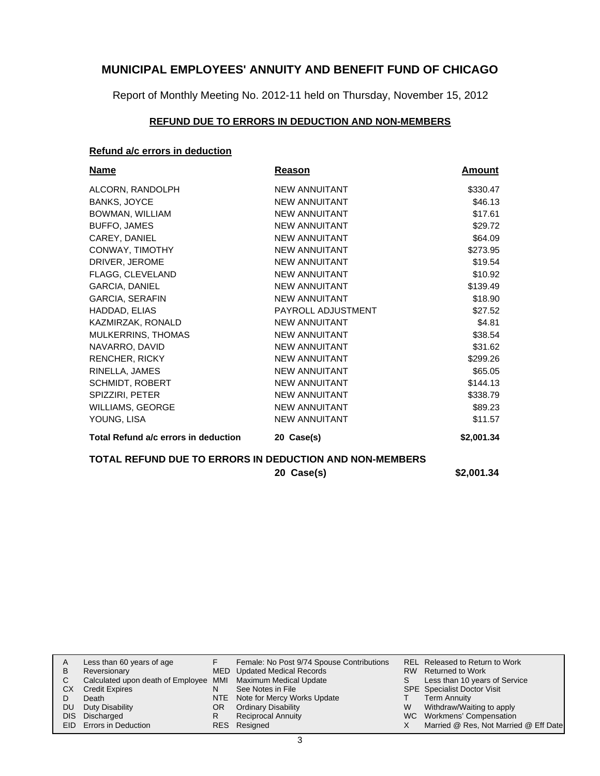Report of Monthly Meeting No. 2012-11 held on Thursday, November 15, 2012

## **REFUND DUE TO ERRORS IN DEDUCTION AND NON-MEMBERS**

### **Refund a/c errors in deduction**

| Name                                                    | <b>Reason</b>        | Amount     |  |  |  |  |
|---------------------------------------------------------|----------------------|------------|--|--|--|--|
| ALCORN, RANDOLPH                                        | <b>NEW ANNUITANT</b> | \$330.47   |  |  |  |  |
| <b>BANKS, JOYCE</b>                                     | <b>NEW ANNUITANT</b> | \$46.13    |  |  |  |  |
| BOWMAN, WILLIAM                                         | <b>NEW ANNUITANT</b> | \$17.61    |  |  |  |  |
| BUFFO, JAMES                                            | <b>NEW ANNUITANT</b> | \$29.72    |  |  |  |  |
| CAREY, DANIEL                                           | <b>NEW ANNUITANT</b> | \$64.09    |  |  |  |  |
| CONWAY, TIMOTHY                                         | <b>NEW ANNUITANT</b> | \$273.95   |  |  |  |  |
| DRIVER, JEROME                                          | <b>NEW ANNUITANT</b> | \$19.54    |  |  |  |  |
| FLAGG, CLEVELAND                                        | <b>NEW ANNUITANT</b> | \$10.92    |  |  |  |  |
| GARCIA, DANIEL                                          | <b>NEW ANNUITANT</b> | \$139.49   |  |  |  |  |
| <b>GARCIA, SERAFIN</b>                                  | <b>NEW ANNUITANT</b> | \$18.90    |  |  |  |  |
| HADDAD, ELIAS                                           | PAYROLL ADJUSTMENT   | \$27.52    |  |  |  |  |
| KAZMIRZAK, RONALD                                       | <b>NEW ANNUITANT</b> | \$4.81     |  |  |  |  |
| MULKERRINS, THOMAS                                      | <b>NEW ANNUITANT</b> | \$38.54    |  |  |  |  |
| NAVARRO, DAVID                                          | <b>NEW ANNUITANT</b> | \$31.62    |  |  |  |  |
| RENCHER, RICKY                                          | <b>NEW ANNUITANT</b> | \$299.26   |  |  |  |  |
| RINELLA, JAMES                                          | <b>NEW ANNUITANT</b> | \$65.05    |  |  |  |  |
| <b>SCHMIDT, ROBERT</b>                                  | <b>NEW ANNUITANT</b> | \$144.13   |  |  |  |  |
| SPIZZIRI, PETER                                         | <b>NEW ANNUITANT</b> | \$338.79   |  |  |  |  |
| WILLIAMS, GEORGE                                        | <b>NEW ANNUITANT</b> | \$89.23    |  |  |  |  |
| YOUNG, LISA                                             | <b>NEW ANNUITANT</b> | \$11.57    |  |  |  |  |
| Total Refund a/c errors in deduction                    | 20 Case(s)           | \$2,001.34 |  |  |  |  |
| TOTAL REFUND DUE TO ERRORS IN DEDUCTION AND NON-MEMBERS |                      |            |  |  |  |  |

**20 Case(s) \$2,001.34**

|    | Less than 60 years of age                                    |     | Female: No Post 9/74 Spouse Contributions |   | REL Released to Return to Work        |
|----|--------------------------------------------------------------|-----|-------------------------------------------|---|---------------------------------------|
| В  | Reversionary                                                 |     | MED Updated Medical Records               |   | RW Returned to Work                   |
|    | Calculated upon death of Employee MMI Maximum Medical Update |     |                                           |   | Less than 10 years of Service         |
| СX | <b>Credit Expires</b>                                        | N   | See Notes in File                         |   | <b>SPE</b> Specialist Doctor Visit    |
|    | Death                                                        |     | NTE Note for Mercy Works Update           |   | <b>Term Annuity</b>                   |
| DU | Duty Disability                                              | OR. | <b>Ordinary Disability</b>                | W | Withdraw/Waiting to apply             |
|    | DIS Discharged                                               | R   | <b>Reciprocal Annuity</b>                 |   | WC Workmens' Compensation             |
|    | <b>EID</b> Errors in Deduction                               |     | RES Resigned                              |   | Married @ Res, Not Married @ Eff Date |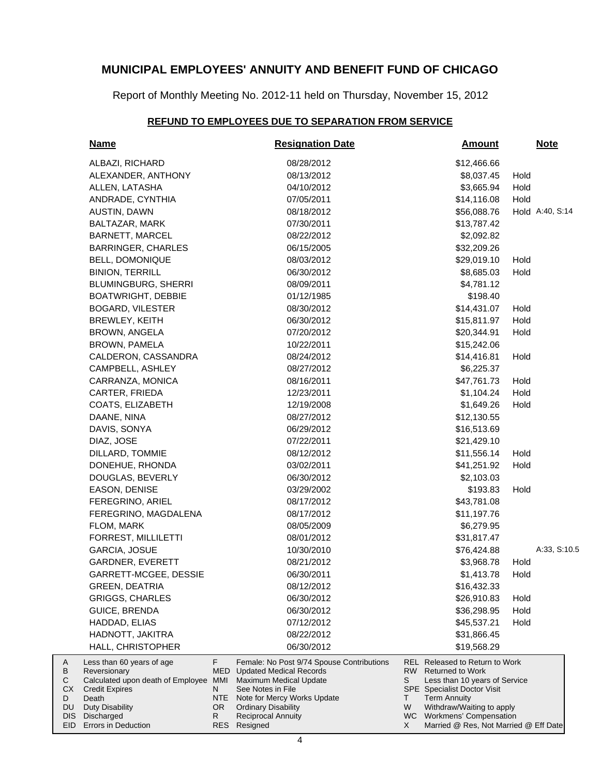Report of Monthly Meeting No. 2012-11 held on Thursday, November 15, 2012

## **REFUND TO EMPLOYEES DUE TO SEPARATION FROM SERVICE**

| <b>Name</b>                                                                                                                                                  |                             | <b>Resignation Date</b>                                                                                                                                                                                                         | <u>Amount</u>       |                                                                                                                                                                                                                   | <b>Note</b> |                 |
|--------------------------------------------------------------------------------------------------------------------------------------------------------------|-----------------------------|---------------------------------------------------------------------------------------------------------------------------------------------------------------------------------------------------------------------------------|---------------------|-------------------------------------------------------------------------------------------------------------------------------------------------------------------------------------------------------------------|-------------|-----------------|
| ALBAZI, RICHARD                                                                                                                                              |                             | 08/28/2012                                                                                                                                                                                                                      |                     | \$12,466.66                                                                                                                                                                                                       |             |                 |
| ALEXANDER, ANTHONY                                                                                                                                           |                             | 08/13/2012                                                                                                                                                                                                                      |                     | \$8,037.45                                                                                                                                                                                                        | Hold        |                 |
| ALLEN, LATASHA                                                                                                                                               |                             | 04/10/2012                                                                                                                                                                                                                      |                     | \$3,665.94                                                                                                                                                                                                        | Hold        |                 |
| ANDRADE, CYNTHIA                                                                                                                                             |                             | 07/05/2011                                                                                                                                                                                                                      |                     | \$14,116.08                                                                                                                                                                                                       | Hold        |                 |
| AUSTIN, DAWN                                                                                                                                                 |                             | 08/18/2012                                                                                                                                                                                                                      |                     | \$56,088.76                                                                                                                                                                                                       |             | Hold A:40, S:14 |
| BALTAZAR, MARK                                                                                                                                               |                             | 07/30/2011                                                                                                                                                                                                                      |                     | \$13,787.42                                                                                                                                                                                                       |             |                 |
| <b>BARNETT, MARCEL</b>                                                                                                                                       |                             | 08/22/2012                                                                                                                                                                                                                      |                     | \$2,092.82                                                                                                                                                                                                        |             |                 |
| <b>BARRINGER, CHARLES</b>                                                                                                                                    |                             | 06/15/2005                                                                                                                                                                                                                      |                     | \$32,209.26                                                                                                                                                                                                       |             |                 |
| <b>BELL, DOMONIQUE</b>                                                                                                                                       |                             | 08/03/2012                                                                                                                                                                                                                      |                     | \$29,019.10                                                                                                                                                                                                       | Hold        |                 |
| <b>BINION, TERRILL</b>                                                                                                                                       |                             | 06/30/2012                                                                                                                                                                                                                      |                     | \$8,685.03                                                                                                                                                                                                        | Hold        |                 |
| BLUMINGBURG, SHERRI                                                                                                                                          |                             | 08/09/2011                                                                                                                                                                                                                      |                     | \$4,781.12                                                                                                                                                                                                        |             |                 |
| <b>BOATWRIGHT, DEBBIE</b>                                                                                                                                    |                             | 01/12/1985                                                                                                                                                                                                                      |                     | \$198.40                                                                                                                                                                                                          |             |                 |
| <b>BOGARD, VILESTER</b>                                                                                                                                      |                             | 08/30/2012                                                                                                                                                                                                                      |                     | \$14,431.07                                                                                                                                                                                                       | Hold        |                 |
| BREWLEY, KEITH                                                                                                                                               |                             | 06/30/2012                                                                                                                                                                                                                      |                     | \$15,811.97                                                                                                                                                                                                       | Hold        |                 |
| BROWN, ANGELA                                                                                                                                                |                             | 07/20/2012                                                                                                                                                                                                                      |                     | \$20,344.91                                                                                                                                                                                                       | Hold        |                 |
| BROWN, PAMELA                                                                                                                                                |                             | 10/22/2011                                                                                                                                                                                                                      |                     | \$15,242.06                                                                                                                                                                                                       |             |                 |
| CALDERON, CASSANDRA                                                                                                                                          |                             | 08/24/2012                                                                                                                                                                                                                      |                     | \$14,416.81                                                                                                                                                                                                       | Hold        |                 |
| CAMPBELL, ASHLEY                                                                                                                                             |                             | 08/27/2012                                                                                                                                                                                                                      |                     | \$6,225.37                                                                                                                                                                                                        |             |                 |
| CARRANZA, MONICA                                                                                                                                             |                             | 08/16/2011                                                                                                                                                                                                                      |                     | \$47,761.73                                                                                                                                                                                                       | Hold        |                 |
| CARTER, FRIEDA                                                                                                                                               |                             | 12/23/2011                                                                                                                                                                                                                      |                     | \$1,104.24                                                                                                                                                                                                        | Hold        |                 |
| COATS, ELIZABETH                                                                                                                                             |                             | 12/19/2008                                                                                                                                                                                                                      |                     | \$1,649.26                                                                                                                                                                                                        | Hold        |                 |
| DAANE, NINA                                                                                                                                                  |                             | 08/27/2012                                                                                                                                                                                                                      |                     | \$12,130.55                                                                                                                                                                                                       |             |                 |
| DAVIS, SONYA                                                                                                                                                 |                             | 06/29/2012                                                                                                                                                                                                                      |                     | \$16,513.69                                                                                                                                                                                                       |             |                 |
| DIAZ, JOSE                                                                                                                                                   |                             | 07/22/2011                                                                                                                                                                                                                      |                     | \$21,429.10                                                                                                                                                                                                       |             |                 |
| DILLARD, TOMMIE                                                                                                                                              |                             | 08/12/2012                                                                                                                                                                                                                      |                     | \$11,556.14                                                                                                                                                                                                       | Hold        |                 |
| DONEHUE, RHONDA                                                                                                                                              |                             | 03/02/2011                                                                                                                                                                                                                      |                     | \$41,251.92                                                                                                                                                                                                       | Hold        |                 |
| DOUGLAS, BEVERLY                                                                                                                                             |                             | 06/30/2012                                                                                                                                                                                                                      |                     | \$2,103.03                                                                                                                                                                                                        |             |                 |
| EASON, DENISE                                                                                                                                                |                             | 03/29/2002                                                                                                                                                                                                                      |                     | \$193.83                                                                                                                                                                                                          | Hold        |                 |
| FEREGRINO, ARIEL                                                                                                                                             |                             | 08/17/2012                                                                                                                                                                                                                      |                     | \$43,781.08                                                                                                                                                                                                       |             |                 |
| FEREGRINO, MAGDALENA                                                                                                                                         |                             | 08/17/2012                                                                                                                                                                                                                      |                     | \$11,197.76                                                                                                                                                                                                       |             |                 |
| FLOM, MARK                                                                                                                                                   |                             | 08/05/2009                                                                                                                                                                                                                      |                     | \$6,279.95                                                                                                                                                                                                        |             |                 |
| FORREST, MILLILETTI                                                                                                                                          |                             | 08/01/2012                                                                                                                                                                                                                      |                     | \$31,817.47                                                                                                                                                                                                       |             |                 |
| GARCIA, JOSUE                                                                                                                                                |                             | 10/30/2010                                                                                                                                                                                                                      |                     | \$76,424.88                                                                                                                                                                                                       |             | A:33, S:10.5    |
| GARDNER, EVERETT                                                                                                                                             |                             | 08/21/2012                                                                                                                                                                                                                      |                     | \$3,968.78                                                                                                                                                                                                        | Hold        |                 |
| GARRETT-MCGEE, DESSIE                                                                                                                                        |                             | 06/30/2011                                                                                                                                                                                                                      |                     | \$1,413.78                                                                                                                                                                                                        | Hold        |                 |
| <b>GREEN, DEATRIA</b>                                                                                                                                        |                             | 08/12/2012                                                                                                                                                                                                                      |                     | \$16,432.33                                                                                                                                                                                                       |             |                 |
| <b>GRIGGS, CHARLES</b>                                                                                                                                       |                             | 06/30/2012                                                                                                                                                                                                                      |                     | \$26,910.83                                                                                                                                                                                                       | Hold        |                 |
| <b>GUICE, BRENDA</b>                                                                                                                                         |                             | 06/30/2012                                                                                                                                                                                                                      |                     | \$36,298.95                                                                                                                                                                                                       | Hold        |                 |
| HADDAD, ELIAS                                                                                                                                                |                             | 07/12/2012                                                                                                                                                                                                                      |                     | \$45,537.21                                                                                                                                                                                                       | Hold        |                 |
| HADNOTT, JAKITRA                                                                                                                                             |                             | 08/22/2012                                                                                                                                                                                                                      |                     | \$31,866.45                                                                                                                                                                                                       |             |                 |
| HALL, CHRISTOPHER                                                                                                                                            |                             | 06/30/2012                                                                                                                                                                                                                      |                     | \$19,568.29                                                                                                                                                                                                       |             |                 |
| Less than 60 years of age<br>Reversionary<br>Calculated upon death of Employee MMI<br><b>Credit Expires</b><br>Death<br><b>Duty Disability</b><br>Discharged | F.<br>N<br>NTE<br>OR.<br>R. | Female: No Post 9/74 Spouse Contributions<br><b>MED</b> Updated Medical Records<br><b>Maximum Medical Update</b><br>See Notes in File<br>Note for Mercy Works Update<br><b>Ordinary Disability</b><br><b>Reciprocal Annuity</b> | RW.<br>S<br>T.<br>W | <b>REL Released to Return to Work</b><br><b>Returned to Work</b><br>Less than 10 years of Service<br>SPE Specialist Doctor Visit<br><b>Term Annuity</b><br>Withdraw/Waiting to apply<br>WC Workmens' Compensation |             |                 |
| Errors in Deduction                                                                                                                                          |                             | RES Resigned                                                                                                                                                                                                                    | X.                  | Married @ Res, Not Married @ Eff Date                                                                                                                                                                             |             |                 |

A B C CX D DU DIS EID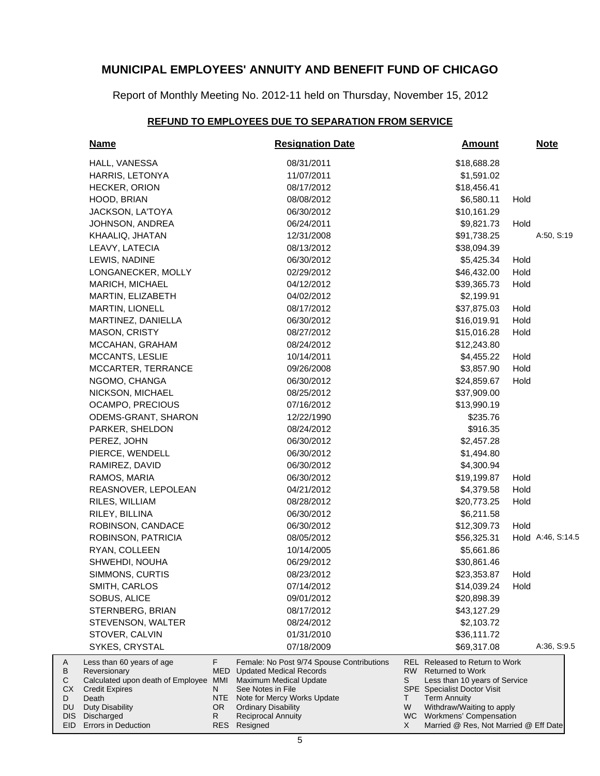Report of Monthly Meeting No. 2012-11 held on Thursday, November 15, 2012

## **REFUND TO EMPLOYEES DUE TO SEPARATION FROM SERVICE**

| <b>Name</b>                                                                                                                                       |                              | <b>Resignation Date</b>                                                                                                                                                                                                      |                    | <u>Amount</u>                                                                                                                                                                                                            |      | <u>Note</u>       |
|---------------------------------------------------------------------------------------------------------------------------------------------------|------------------------------|------------------------------------------------------------------------------------------------------------------------------------------------------------------------------------------------------------------------------|--------------------|--------------------------------------------------------------------------------------------------------------------------------------------------------------------------------------------------------------------------|------|-------------------|
| HALL, VANESSA                                                                                                                                     |                              | 08/31/2011                                                                                                                                                                                                                   |                    | \$18,688.28                                                                                                                                                                                                              |      |                   |
| HARRIS, LETONYA                                                                                                                                   |                              | 11/07/2011                                                                                                                                                                                                                   |                    | \$1,591.02                                                                                                                                                                                                               |      |                   |
| HECKER, ORION                                                                                                                                     |                              | 08/17/2012                                                                                                                                                                                                                   |                    | \$18,456.41                                                                                                                                                                                                              |      |                   |
| HOOD, BRIAN                                                                                                                                       |                              | 08/08/2012                                                                                                                                                                                                                   |                    | \$6,580.11                                                                                                                                                                                                               | Hold |                   |
| JACKSON, LA'TOYA                                                                                                                                  |                              | 06/30/2012                                                                                                                                                                                                                   |                    | \$10,161.29                                                                                                                                                                                                              |      |                   |
| JOHNSON, ANDREA                                                                                                                                   |                              | 06/24/2011                                                                                                                                                                                                                   |                    | \$9,821.73                                                                                                                                                                                                               | Hold |                   |
| KHAALIQ, JHATAN                                                                                                                                   |                              | 12/31/2008                                                                                                                                                                                                                   |                    | \$91,738.25                                                                                                                                                                                                              |      | A:50, S:19        |
| LEAVY, LATECIA                                                                                                                                    |                              | 08/13/2012                                                                                                                                                                                                                   |                    | \$38,094.39                                                                                                                                                                                                              |      |                   |
| LEWIS, NADINE                                                                                                                                     |                              | 06/30/2012                                                                                                                                                                                                                   |                    | \$5,425.34                                                                                                                                                                                                               | Hold |                   |
| LONGANECKER, MOLLY                                                                                                                                |                              | 02/29/2012                                                                                                                                                                                                                   |                    | \$46,432.00                                                                                                                                                                                                              | Hold |                   |
| MARICH, MICHAEL                                                                                                                                   |                              | 04/12/2012                                                                                                                                                                                                                   |                    | \$39,365.73                                                                                                                                                                                                              | Hold |                   |
| MARTIN, ELIZABETH                                                                                                                                 |                              | 04/02/2012                                                                                                                                                                                                                   |                    | \$2,199.91                                                                                                                                                                                                               |      |                   |
| <b>MARTIN, LIONELL</b>                                                                                                                            |                              | 08/17/2012                                                                                                                                                                                                                   |                    | \$37,875.03                                                                                                                                                                                                              | Hold |                   |
| MARTINEZ, DANIELLA                                                                                                                                |                              | 06/30/2012                                                                                                                                                                                                                   |                    | \$16,019.91                                                                                                                                                                                                              | Hold |                   |
| MASON, CRISTY                                                                                                                                     |                              | 08/27/2012                                                                                                                                                                                                                   |                    | \$15,016.28                                                                                                                                                                                                              | Hold |                   |
| MCCAHAN, GRAHAM                                                                                                                                   |                              | 08/24/2012                                                                                                                                                                                                                   |                    | \$12,243.80                                                                                                                                                                                                              |      |                   |
| MCCANTS, LESLIE                                                                                                                                   |                              | 10/14/2011                                                                                                                                                                                                                   |                    | \$4,455.22                                                                                                                                                                                                               | Hold |                   |
| MCCARTER, TERRANCE                                                                                                                                |                              | 09/26/2008                                                                                                                                                                                                                   |                    | \$3,857.90                                                                                                                                                                                                               | Hold |                   |
| NGOMO, CHANGA                                                                                                                                     |                              | 06/30/2012                                                                                                                                                                                                                   |                    | \$24,859.67                                                                                                                                                                                                              | Hold |                   |
| NICKSON, MICHAEL                                                                                                                                  |                              | 08/25/2012                                                                                                                                                                                                                   |                    | \$37,909.00                                                                                                                                                                                                              |      |                   |
| OCAMPO, PRECIOUS                                                                                                                                  |                              | 07/16/2012                                                                                                                                                                                                                   |                    | \$13,990.19                                                                                                                                                                                                              |      |                   |
| ODEMS-GRANT, SHARON                                                                                                                               |                              | 12/22/1990                                                                                                                                                                                                                   |                    | \$235.76                                                                                                                                                                                                                 |      |                   |
| PARKER, SHELDON                                                                                                                                   |                              | 08/24/2012                                                                                                                                                                                                                   |                    | \$916.35                                                                                                                                                                                                                 |      |                   |
| PEREZ, JOHN                                                                                                                                       |                              | 06/30/2012                                                                                                                                                                                                                   |                    | \$2,457.28                                                                                                                                                                                                               |      |                   |
| PIERCE, WENDELL                                                                                                                                   |                              | 06/30/2012                                                                                                                                                                                                                   |                    | \$1,494.80                                                                                                                                                                                                               |      |                   |
| RAMIREZ, DAVID                                                                                                                                    |                              | 06/30/2012                                                                                                                                                                                                                   |                    | \$4,300.94                                                                                                                                                                                                               |      |                   |
| RAMOS, MARIA                                                                                                                                      |                              | 06/30/2012                                                                                                                                                                                                                   |                    | \$19,199.87                                                                                                                                                                                                              | Hold |                   |
| REASNOVER, LEPOLEAN                                                                                                                               |                              | 04/21/2012                                                                                                                                                                                                                   |                    | \$4,379.58                                                                                                                                                                                                               | Hold |                   |
| RILES, WILLIAM                                                                                                                                    |                              | 08/28/2012                                                                                                                                                                                                                   |                    | \$20,773.25                                                                                                                                                                                                              | Hold |                   |
| RILEY, BILLINA                                                                                                                                    |                              | 06/30/2012                                                                                                                                                                                                                   |                    | \$6,211.58                                                                                                                                                                                                               |      |                   |
| ROBINSON, CANDACE                                                                                                                                 |                              | 06/30/2012                                                                                                                                                                                                                   |                    | \$12,309.73                                                                                                                                                                                                              | Hold |                   |
| ROBINSON, PATRICIA                                                                                                                                |                              | 08/05/2012                                                                                                                                                                                                                   |                    | \$56,325.31                                                                                                                                                                                                              |      | Hold A:46, S:14.5 |
| RYAN, COLLEEN                                                                                                                                     |                              | 10/14/2005                                                                                                                                                                                                                   |                    | \$5,661.86                                                                                                                                                                                                               |      |                   |
| SHWEHDI, NOUHA                                                                                                                                    |                              | 06/29/2012                                                                                                                                                                                                                   |                    | \$30,861.46                                                                                                                                                                                                              |      |                   |
| SIMMONS, CURTIS                                                                                                                                   |                              | 08/23/2012                                                                                                                                                                                                                   |                    | \$23,353.87                                                                                                                                                                                                              | Hold |                   |
| SMITH, CARLOS                                                                                                                                     |                              | 07/14/2012                                                                                                                                                                                                                   |                    | \$14,039.24                                                                                                                                                                                                              | Hold |                   |
| SOBUS, ALICE                                                                                                                                      |                              | 09/01/2012                                                                                                                                                                                                                   |                    | \$20,898.39                                                                                                                                                                                                              |      |                   |
| STERNBERG, BRIAN                                                                                                                                  |                              | 08/17/2012                                                                                                                                                                                                                   |                    | \$43,127.29                                                                                                                                                                                                              |      |                   |
| STEVENSON, WALTER                                                                                                                                 |                              | 08/24/2012                                                                                                                                                                                                                   |                    | \$2,103.72                                                                                                                                                                                                               |      |                   |
| STOVER, CALVIN                                                                                                                                    |                              | 01/31/2010                                                                                                                                                                                                                   |                    | \$36,111.72                                                                                                                                                                                                              |      |                   |
| SYKES, CRYSTAL                                                                                                                                    |                              | 07/18/2009                                                                                                                                                                                                                   |                    | \$69,317.08                                                                                                                                                                                                              |      | A:36, S:9.5       |
| Less than 60 years of age<br>Reversionary<br>Calculated upon death of Employee<br><b>Credit Expires</b><br>Death<br>Duty Disability<br>Discharged | F<br>N.<br>NTE.<br>OR.<br>R. | Female: No Post 9/74 Spouse Contributions<br><b>MED</b> Updated Medical Records<br>MMI Maximum Medical Update<br>See Notes in File<br>Note for Mercy Works Update<br><b>Ordinary Disability</b><br><b>Reciprocal Annuity</b> | RW<br>S<br>T.<br>W | <b>REL Released to Return to Work</b><br><b>Returned to Work</b><br>Less than 10 years of Service<br><b>SPE</b> Specialist Doctor Visit<br><b>Term Annuity</b><br>Withdraw/Waiting to apply<br>WC Workmens' Compensation |      |                   |
| <b>Errors in Deduction</b>                                                                                                                        |                              | RES Resigned                                                                                                                                                                                                                 | X                  | Married @ Res, Not Married @ Eff Date                                                                                                                                                                                    |      |                   |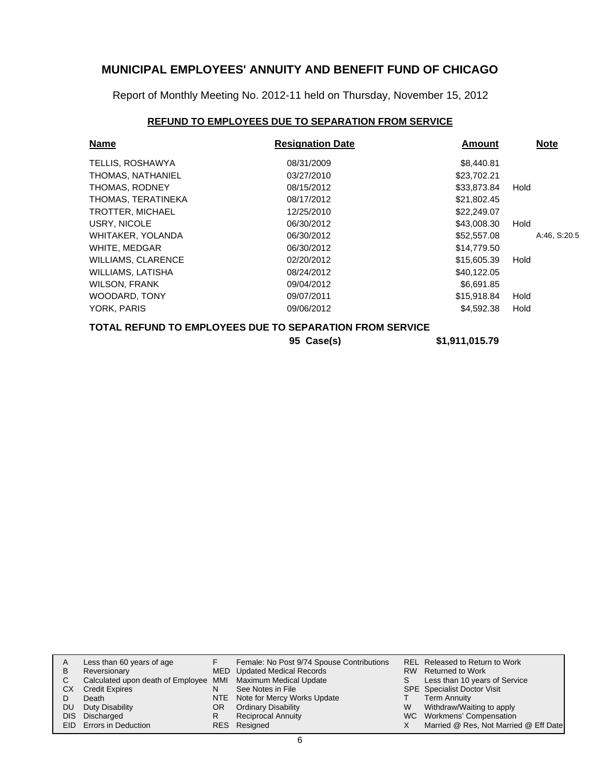Report of Monthly Meeting No. 2012-11 held on Thursday, November 15, 2012

## **REFUND TO EMPLOYEES DUE TO SEPARATION FROM SERVICE**

| <b>Name</b>                                                     | <b>Resignation Date</b> | Amount      | <b>Note</b>  |  |  |  |
|-----------------------------------------------------------------|-------------------------|-------------|--------------|--|--|--|
| TELLIS, ROSHAWYA                                                | 08/31/2009              | \$8,440.81  |              |  |  |  |
| THOMAS, NATHANIEL                                               | 03/27/2010              | \$23,702.21 |              |  |  |  |
| THOMAS, RODNEY                                                  | 08/15/2012              | \$33,873.84 | Hold         |  |  |  |
| THOMAS, TERATINEKA                                              | 08/17/2012              | \$21,802.45 |              |  |  |  |
| <b>TROTTER, MICHAEL</b>                                         | 12/25/2010              | \$22,249.07 |              |  |  |  |
| USRY, NICOLE                                                    | 06/30/2012              | \$43,008.30 | Hold         |  |  |  |
| WHITAKER, YOLANDA                                               | 06/30/2012              | \$52,557.08 | A:46, S:20.5 |  |  |  |
| WHITE, MEDGAR                                                   | 06/30/2012              | \$14,779.50 |              |  |  |  |
| <b>WILLIAMS, CLARENCE</b>                                       | 02/20/2012              | \$15,605.39 | Hold         |  |  |  |
| WILLIAMS, LATISHA                                               | 08/24/2012              | \$40,122.05 |              |  |  |  |
| <b>WILSON, FRANK</b>                                            | 09/04/2012              | \$6,691.85  |              |  |  |  |
| <b>WOODARD, TONY</b>                                            | 09/07/2011              | \$15,918.84 | Hold         |  |  |  |
| YORK, PARIS                                                     | 09/06/2012              | \$4,592.38  | Hold         |  |  |  |
| <b>TOTAL REFUND TO EMPLOYEES DUE TO SEPARATION FROM SERVICE</b> |                         |             |              |  |  |  |

**95 Case(s) \$1,911,015.79**

| A   | Less than 60 years of age                                    |    | Female: No Post 9/74 Spouse Contributions |   | REL Released to Return to Work        |
|-----|--------------------------------------------------------------|----|-------------------------------------------|---|---------------------------------------|
| B   | Reversionary                                                 |    | MED Updated Medical Records               |   | RW Returned to Work                   |
| C.  | Calculated upon death of Employee MMI Maximum Medical Update |    |                                           |   | Less than 10 years of Service         |
| CХ  | <b>Credit Expires</b>                                        | N  | See Notes in File                         |   | <b>SPE</b> Specialist Doctor Visit    |
|     | Death                                                        |    | NTE Note for Mercy Works Update           |   | <b>Term Annuity</b>                   |
| DU. | Duty Disability                                              | OR | <b>Ordinary Disability</b>                | W | Withdraw/Waiting to apply             |
|     | DIS Discharged                                               |    | <b>Reciprocal Annuity</b>                 |   | WC Workmens' Compensation             |
|     | EID Errors in Deduction                                      |    | RES Resigned                              |   | Married @ Res, Not Married @ Eff Date |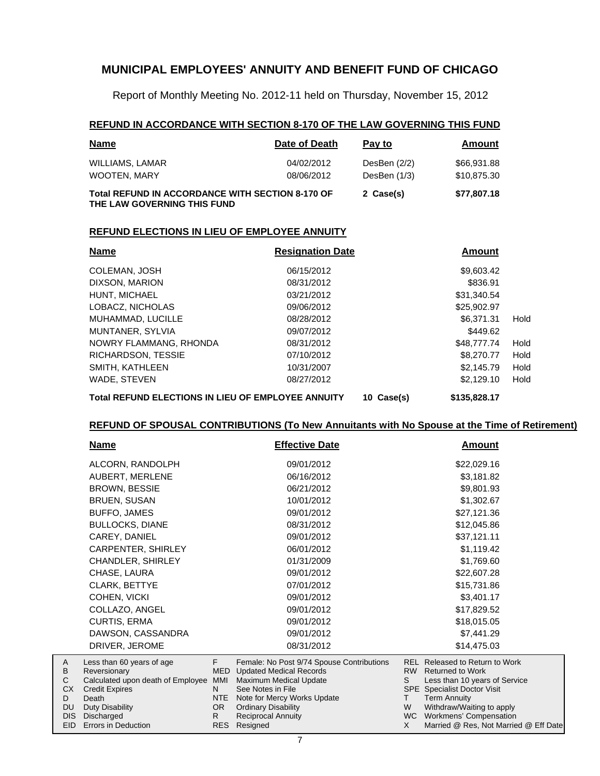Report of Monthly Meeting No. 2012-11 held on Thursday, November 15, 2012

#### **REFUND IN ACCORDANCE WITH SECTION 8-170 OF THE LAW GOVERNING THIS FUND**

| <b>Name</b>                                                                            | Date of Death            | Pay to                           | Amount                     |
|----------------------------------------------------------------------------------------|--------------------------|----------------------------------|----------------------------|
| WILLIAMS, LAMAR<br><b>WOOTEN, MARY</b>                                                 | 04/02/2012<br>08/06/2012 | DesBen $(2/2)$<br>DesBen $(1/3)$ | \$66,931.88<br>\$10,875.30 |
| <b>Total REFUND IN ACCORDANCE WITH SECTION 8-170 OF</b><br>THE LAW GOVERNING THIS FUND |                          | 2 Case(s)                        | \$77,807.18                |

#### **REFUND ELECTIONS IN LIEU OF EMPLOYEE ANNUITY**

| <b>Name</b>                                               | <b>Resignation Date</b> |         | Amount       |      |
|-----------------------------------------------------------|-------------------------|---------|--------------|------|
| <b>COLEMAN, JOSH</b>                                      | 06/15/2012              |         | \$9,603.42   |      |
| DIXSON, MARION                                            | 08/31/2012              |         | \$836.91     |      |
| HUNT, MICHAEL                                             | 03/21/2012              |         | \$31,340.54  |      |
| LOBACZ, NICHOLAS                                          | 09/06/2012              |         | \$25,902.97  |      |
| MUHAMMAD, LUCILLE                                         | 08/28/2012              |         | \$6.371.31   | Hold |
| MUNTANER, SYLVIA                                          | 09/07/2012              |         | \$449.62     |      |
| NOWRY FLAMMANG, RHONDA                                    | 08/31/2012              |         | \$48,777,74  | Hold |
| RICHARDSON, TESSIE                                        | 07/10/2012              |         | \$8,270,77   | Hold |
| SMITH, KATHLEEN                                           | 10/31/2007              |         | \$2,145.79   | Hold |
| WADE, STEVEN                                              | 08/27/2012              |         | \$2,129,10   | Hold |
| <b>Total REFUND ELECTIONS IN LIEU OF EMPLOYEE ANNUITY</b> | 10                      | Case(s) | \$135,828.17 |      |

#### **REFUND OF SPOUSAL CONTRIBUTIONS (To New Annuitants with No Spouse at the Time of Retirement)**

|                  | <u>Name</u>                                       |     | <b>Effective Date</b>                                               | Amount    |                                                      |  |
|------------------|---------------------------------------------------|-----|---------------------------------------------------------------------|-----------|------------------------------------------------------|--|
|                  | ALCORN, RANDOLPH                                  |     | 09/01/2012                                                          |           | \$22,029.16                                          |  |
|                  | AUBERT, MERLENE                                   |     | 06/16/2012                                                          |           | \$3,181.82                                           |  |
|                  | <b>BROWN, BESSIE</b>                              |     | 06/21/2012                                                          |           | \$9,801.93                                           |  |
|                  | <b>BRUEN, SUSAN</b>                               |     | 10/01/2012                                                          |           | \$1,302.67                                           |  |
|                  | BUFFO, JAMES                                      |     | 09/01/2012                                                          |           | \$27,121.36                                          |  |
|                  | <b>BULLOCKS, DIANE</b>                            |     | 08/31/2012                                                          |           | \$12,045.86                                          |  |
|                  | CAREY, DANIEL                                     |     | 09/01/2012                                                          |           | \$37,121.11                                          |  |
|                  | CARPENTER, SHIRLEY                                |     | 06/01/2012                                                          |           | \$1,119.42                                           |  |
|                  | CHANDLER, SHIRLEY                                 |     | 01/31/2009                                                          |           | \$1,769.60                                           |  |
|                  | CHASE, LAURA                                      |     | 09/01/2012                                                          |           | \$22,607.28                                          |  |
|                  | <b>CLARK, BETTYE</b>                              |     | 07/01/2012                                                          |           | \$15,731.86                                          |  |
|                  | COHEN, VICKI                                      |     | 09/01/2012                                                          |           | \$3,401.17                                           |  |
|                  | COLLAZO, ANGEL                                    |     | 09/01/2012                                                          |           | \$17,829.52                                          |  |
|                  | CURTIS, ERMA                                      |     | 09/01/2012                                                          |           | \$18,015.05                                          |  |
|                  | DAWSON, CASSANDRA                                 |     | 09/01/2012                                                          |           | \$7,441.29                                           |  |
|                  | DRIVER, JEROME                                    |     | 08/31/2012                                                          |           | \$14,475.03                                          |  |
| A                | Less than 60 years of age                         | F.  | Female: No Post 9/74 Spouse Contributions                           |           | <b>REL Released to Return to Work</b>                |  |
| B<br>$\mathsf C$ | Reversionary<br>Calculated upon death of Employee | MMI | <b>MED</b> Updated Medical Records<br><b>Maximum Medical Update</b> | S         | RW Returned to Work<br>Less than 10 years of Service |  |
| CX               | <b>Credit Expires</b>                             | N.  | See Notes in File                                                   |           | SPE Specialist Doctor Visit                          |  |
| D                | Death                                             | NTE | Note for Mercy Works Update                                         | T.        | <b>Term Annuity</b>                                  |  |
| DU               | Duty Disability                                   | OR. | <b>Ordinary Disability</b>                                          | W         | Withdraw/Waiting to apply                            |  |
| <b>DIS</b>       | Discharged                                        | R   | Reciprocal Annuity                                                  | <b>WC</b> | Workmens' Compensation                               |  |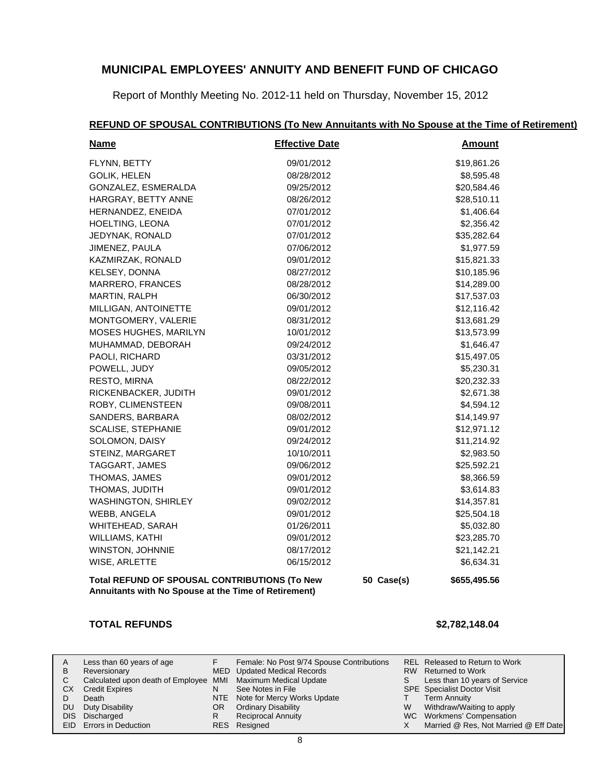Report of Monthly Meeting No. 2012-11 held on Thursday, November 15, 2012

# **REFUND OF SPOUSAL CONTRIBUTIONS (To New Annuitants with No Spouse at the Time of Retirement)**

| <b>Name</b>                                                                                           | <b>Effective Date</b> |            | <b>Amount</b> |
|-------------------------------------------------------------------------------------------------------|-----------------------|------------|---------------|
| FLYNN, BETTY                                                                                          | 09/01/2012            |            | \$19,861.26   |
| <b>GOLIK, HELEN</b>                                                                                   | 08/28/2012            |            | \$8,595.48    |
| GONZALEZ, ESMERALDA                                                                                   | 09/25/2012            |            | \$20,584.46   |
| HARGRAY, BETTY ANNE                                                                                   | 08/26/2012            |            | \$28,510.11   |
| HERNANDEZ, ENEIDA                                                                                     | 07/01/2012            |            | \$1,406.64    |
| HOELTING, LEONA                                                                                       | 07/01/2012            |            | \$2,356.42    |
| JEDYNAK, RONALD                                                                                       | 07/01/2012            |            | \$35,282.64   |
| JIMENEZ, PAULA                                                                                        | 07/06/2012            |            | \$1,977.59    |
| KAZMIRZAK, RONALD                                                                                     | 09/01/2012            |            | \$15,821.33   |
| KELSEY, DONNA                                                                                         | 08/27/2012            |            | \$10,185.96   |
| MARRERO, FRANCES                                                                                      | 08/28/2012            |            | \$14,289.00   |
| MARTIN, RALPH                                                                                         | 06/30/2012            |            | \$17,537.03   |
| MILLIGAN, ANTOINETTE                                                                                  | 09/01/2012            |            | \$12,116.42   |
| MONTGOMERY, VALERIE                                                                                   | 08/31/2012            |            | \$13,681.29   |
| MOSES HUGHES, MARILYN                                                                                 | 10/01/2012            |            | \$13,573.99   |
| MUHAMMAD, DEBORAH                                                                                     | 09/24/2012            |            | \$1,646.47    |
| PAOLI, RICHARD                                                                                        | 03/31/2012            |            | \$15,497.05   |
| POWELL, JUDY                                                                                          | 09/05/2012            |            | \$5,230.31    |
| RESTO, MIRNA                                                                                          | 08/22/2012            |            | \$20,232.33   |
| RICKENBACKER, JUDITH                                                                                  | 09/01/2012            |            | \$2,671.38    |
| ROBY, CLIMENSTEEN                                                                                     | 09/08/2011            |            | \$4,594.12    |
| SANDERS, BARBARA                                                                                      | 08/02/2012            |            | \$14,149.97   |
| <b>SCALISE, STEPHANIE</b>                                                                             | 09/01/2012            |            | \$12,971.12   |
| SOLOMON, DAISY                                                                                        | 09/24/2012            |            | \$11,214.92   |
| STEINZ, MARGARET                                                                                      | 10/10/2011            |            | \$2,983.50    |
| TAGGART, JAMES                                                                                        | 09/06/2012            |            | \$25,592.21   |
| THOMAS, JAMES                                                                                         | 09/01/2012            |            | \$8,366.59    |
| THOMAS, JUDITH                                                                                        | 09/01/2012            |            | \$3,614.83    |
| <b>WASHINGTON, SHIRLEY</b>                                                                            | 09/02/2012            |            | \$14,357.81   |
| WEBB, ANGELA                                                                                          | 09/01/2012            |            | \$25,504.18   |
| WHITEHEAD, SARAH                                                                                      | 01/26/2011            |            | \$5,032.80    |
| <b>WILLIAMS, KATHI</b>                                                                                | 09/01/2012            |            | \$23,285.70   |
| WINSTON, JOHNNIE                                                                                      | 08/17/2012            |            | \$21,142.21   |
| WISE, ARLETTE                                                                                         | 06/15/2012            |            | \$6,634.31    |
| Total REFUND OF SPOUSAL CONTRIBUTIONS (To New<br>Annuitants with No Spouse at the Time of Retirement) |                       | 50 Case(s) | \$655,495.56  |

#### **TOTAL REFUNDS \$2,782,148.04**

| A  | Less than 60 years of age                                    |     | Female: No Post 9/74 Spouse Contributions |     | REL Released to Return to Work        |
|----|--------------------------------------------------------------|-----|-------------------------------------------|-----|---------------------------------------|
| B  | Reversionary                                                 |     | MED Updated Medical Records               | RW. | <b>Returned to Work</b>               |
|    | Calculated upon death of Employee MMI Maximum Medical Update |     |                                           |     | Less than 10 years of Service         |
| СX | <b>Credit Expires</b>                                        |     | See Notes in File                         |     | <b>SPE</b> Specialist Doctor Visit    |
|    | Death                                                        |     | NTE Note for Mercy Works Update           |     | <b>Term Annuity</b>                   |
| DU | Duty Disability                                              | OR. | <b>Ordinary Disability</b>                | W   | Withdraw/Waiting to apply             |
|    | DIS Discharged                                               |     | <b>Reciprocal Annuity</b>                 |     | WC Workmens' Compensation             |
|    | <b>EID</b> Errors in Deduction                               |     | RES Resigned                              |     | Married @ Res, Not Married @ Eff Date |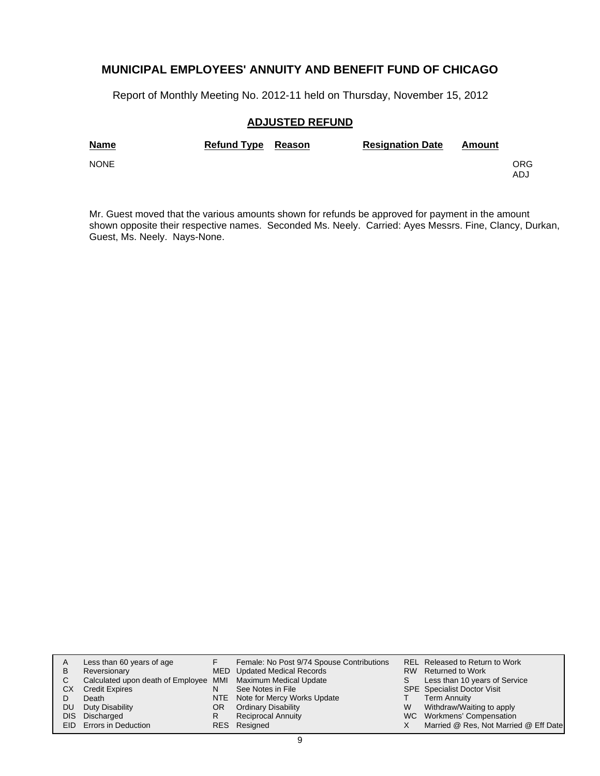Report of Monthly Meeting No. 2012-11 held on Thursday, November 15, 2012

#### **ADJUSTED REFUND**

| <b>Name</b> | Refund Type Reason | <b>Resignation Date</b> | Amount |             |
|-------------|--------------------|-------------------------|--------|-------------|
| <b>NONE</b> |                    |                         |        | ORG.<br>ADJ |

Mr. Guest moved that the various amounts shown for refunds be approved for payment in the amount shown opposite their respective names. Seconded Ms. Neely. Carried: Ayes Messrs. Fine, Clancy, Durkan, Guest, Ms. Neely. Nays-None.

| A    | Less than 60 years of age                                    |     | Female: No Post 9/74 Spouse Contributions |    | REL Released to Return to Work        |
|------|--------------------------------------------------------------|-----|-------------------------------------------|----|---------------------------------------|
| B    | Reversionary                                                 |     | MED Updated Medical Records               |    | RW Returned to Work                   |
| C.   | Calculated upon death of Employee MMI Maximum Medical Update |     |                                           | S. | Less than 10 years of Service         |
| СX   | <b>Credit Expires</b>                                        | N   | See Notes in File                         |    | <b>SPE</b> Specialist Doctor Visit    |
|      | Death                                                        |     | NTE Note for Mercy Works Update           |    | <b>Term Annuity</b>                   |
| DU.  | Duty Disability                                              | OR. | <b>Ordinary Disability</b>                | W  | Withdraw/Waiting to apply             |
| DIS. | Discharged                                                   | R   | <b>Reciprocal Annuity</b>                 |    | WC Workmens' Compensation             |
|      | EID Errors in Deduction                                      |     | RES Resigned                              |    | Married @ Res, Not Married @ Eff Date |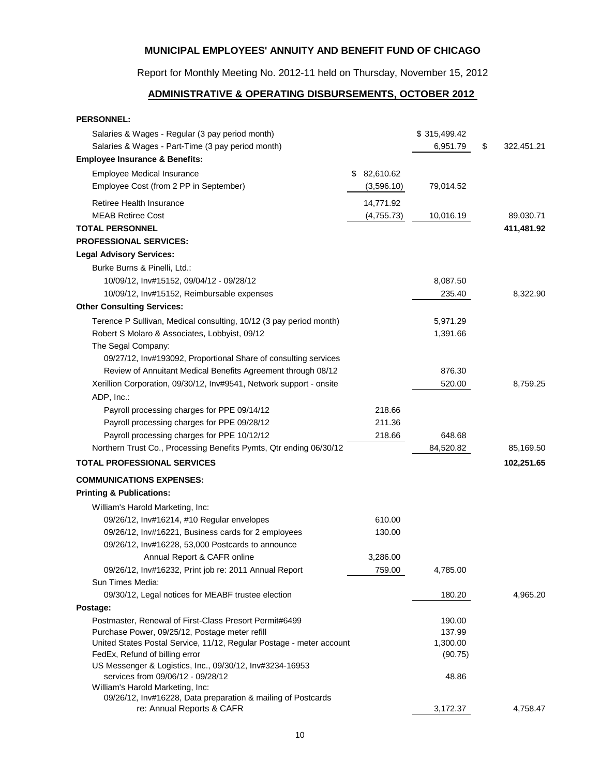Report for Monthly Meeting No. 2012-11 held on Thursday, November 15, 2012

## **ADMINISTRATIVE & OPERATING DISBURSEMENTS, OCTOBER 2012**

| <b>PERSONNEL:</b>                                                                                |                 |              |                  |
|--------------------------------------------------------------------------------------------------|-----------------|--------------|------------------|
| Salaries & Wages - Regular (3 pay period month)                                                  |                 | \$315,499.42 |                  |
| Salaries & Wages - Part-Time (3 pay period month)                                                |                 | 6,951.79     | \$<br>322,451.21 |
| <b>Employee Insurance &amp; Benefits:</b>                                                        |                 |              |                  |
| <b>Employee Medical Insurance</b>                                                                | 82,610.62<br>\$ |              |                  |
| Employee Cost (from 2 PP in September)                                                           | (3,596.10)      | 79,014.52    |                  |
| Retiree Health Insurance                                                                         | 14,771.92       |              |                  |
| <b>MEAB Retiree Cost</b>                                                                         | (4,755.73)      | 10,016.19    | 89,030.71        |
| <b>TOTAL PERSONNEL</b>                                                                           |                 |              | 411,481.92       |
| <b>PROFESSIONAL SERVICES:</b>                                                                    |                 |              |                  |
| <b>Legal Advisory Services:</b>                                                                  |                 |              |                  |
| Burke Burns & Pinelli, Ltd.:                                                                     |                 |              |                  |
| 10/09/12, Inv#15152, 09/04/12 - 09/28/12                                                         |                 | 8,087.50     |                  |
| 10/09/12, Inv#15152, Reimbursable expenses                                                       |                 | 235.40       | 8,322.90         |
| <b>Other Consulting Services:</b>                                                                |                 |              |                  |
| Terence P Sullivan, Medical consulting, 10/12 (3 pay period month)                               |                 | 5,971.29     |                  |
| Robert S Molaro & Associates, Lobbyist, 09/12                                                    |                 | 1,391.66     |                  |
| The Segal Company:                                                                               |                 |              |                  |
| 09/27/12, Inv#193092, Proportional Share of consulting services                                  |                 |              |                  |
| Review of Annuitant Medical Benefits Agreement through 08/12                                     |                 | 876.30       |                  |
| Xerillion Corporation, 09/30/12, Inv#9541, Network support - onsite                              |                 | 520.00       | 8,759.25         |
| ADP, Inc.:                                                                                       |                 |              |                  |
| Payroll processing charges for PPE 09/14/12                                                      | 218.66          |              |                  |
| Payroll processing charges for PPE 09/28/12                                                      | 211.36          |              |                  |
| Payroll processing charges for PPE 10/12/12                                                      | 218.66          | 648.68       |                  |
| Northern Trust Co., Processing Benefits Pymts, Qtr ending 06/30/12                               |                 | 84,520.82    | 85,169.50        |
| <b>TOTAL PROFESSIONAL SERVICES</b>                                                               |                 |              | 102,251.65       |
|                                                                                                  |                 |              |                  |
| <b>COMMUNICATIONS EXPENSES:</b><br><b>Printing &amp; Publications:</b>                           |                 |              |                  |
| William's Harold Marketing, Inc:                                                                 |                 |              |                  |
| 09/26/12, Inv#16214, #10 Regular envelopes                                                       | 610.00          |              |                  |
| 09/26/12, Inv#16221, Business cards for 2 employees                                              | 130.00          |              |                  |
| 09/26/12, Inv#16228, 53,000 Postcards to announce                                                |                 |              |                  |
| Annual Report & CAFR online                                                                      | 3,286.00        |              |                  |
| 09/26/12, Inv#16232, Print job re: 2011 Annual Report                                            | 759.00          | 4,785.00     |                  |
| Sun Times Media:                                                                                 |                 |              |                  |
| 09/30/12, Legal notices for MEABF trustee election                                               |                 | 180.20       | 4,965.20         |
| Postage:                                                                                         |                 |              |                  |
| Postmaster, Renewal of First-Class Presort Permit#6499                                           |                 | 190.00       |                  |
| Purchase Power, 09/25/12, Postage meter refill                                                   |                 | 137.99       |                  |
| United States Postal Service, 11/12, Regular Postage - meter account                             |                 | 1,300.00     |                  |
| FedEx, Refund of billing error                                                                   |                 | (90.75)      |                  |
| US Messenger & Logistics, Inc., 09/30/12, Inv#3234-16953                                         |                 |              |                  |
| services from 09/06/12 - 09/28/12                                                                |                 | 48.86        |                  |
| William's Harold Marketing, Inc:<br>09/26/12, Inv#16228, Data preparation & mailing of Postcards |                 |              |                  |
| re: Annual Reports & CAFR                                                                        |                 | 3,172.37     | 4,758.47         |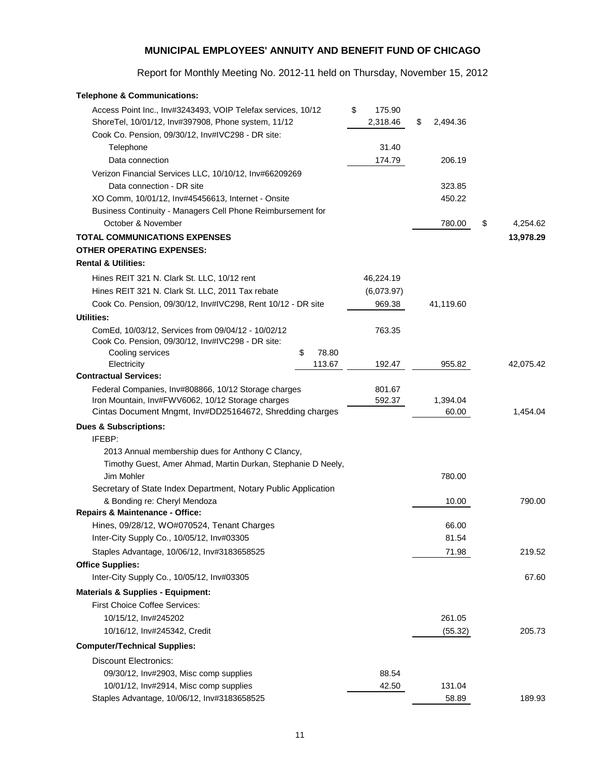Report for Monthly Meeting No. 2012-11 held on Thursday, November 15, 2012

| <b>Telephone &amp; Communications:</b>                                                                              |             |                          |                |                |
|---------------------------------------------------------------------------------------------------------------------|-------------|--------------------------|----------------|----------------|
| Access Point Inc., Inv#3243493, VOIP Telefax services, 10/12<br>ShoreTel, 10/01/12, Inv#397908, Phone system, 11/12 |             | \$<br>175.90<br>2,318.46 | \$<br>2,494.36 |                |
| Cook Co. Pension, 09/30/12, Inv#IVC298 - DR site:                                                                   |             |                          |                |                |
| Telephone                                                                                                           |             | 31.40                    |                |                |
| Data connection                                                                                                     |             | 174.79                   | 206.19         |                |
| Verizon Financial Services LLC, 10/10/12, Inv#66209269                                                              |             |                          |                |                |
| Data connection - DR site                                                                                           |             |                          | 323.85         |                |
| XO Comm, 10/01/12, Inv#45456613, Internet - Onsite                                                                  |             |                          | 450.22         |                |
| Business Continuity - Managers Cell Phone Reimbursement for                                                         |             |                          |                |                |
| October & November                                                                                                  |             |                          | 780.00         | \$<br>4,254.62 |
| <b>TOTAL COMMUNICATIONS EXPENSES</b>                                                                                |             |                          |                | 13,978.29      |
| <b>OTHER OPERATING EXPENSES:</b>                                                                                    |             |                          |                |                |
| <b>Rental &amp; Utilities:</b>                                                                                      |             |                          |                |                |
| Hines REIT 321 N. Clark St. LLC, 10/12 rent                                                                         |             | 46,224.19                |                |                |
| Hines REIT 321 N. Clark St. LLC, 2011 Tax rebate                                                                    |             | (6,073.97)               |                |                |
| Cook Co. Pension, 09/30/12, Inv#IVC298, Rent 10/12 - DR site                                                        |             | 969.38                   | 41,119.60      |                |
| Utilities:                                                                                                          |             |                          |                |                |
| ComEd, 10/03/12, Services from 09/04/12 - 10/02/12<br>Cook Co. Pension, 09/30/12, Inv#IVC298 - DR site:             |             | 763.35                   |                |                |
| Cooling services                                                                                                    | \$<br>78.80 |                          |                |                |
| Electricity                                                                                                         | 113.67      | 192.47                   | 955.82         | 42,075.42      |
| <b>Contractual Services:</b>                                                                                        |             |                          |                |                |
| Federal Companies, Inv#808866, 10/12 Storage charges<br>Iron Mountain, Inv#FWV6062, 10/12 Storage charges           |             | 801.67<br>592.37         | 1,394.04       |                |
| Cintas Document Mngmt, Inv#DD25164672, Shredding charges                                                            |             |                          | 60.00          | 1,454.04       |
| <b>Dues &amp; Subscriptions:</b>                                                                                    |             |                          |                |                |
| IFEBP:                                                                                                              |             |                          |                |                |
| 2013 Annual membership dues for Anthony C Clancy,                                                                   |             |                          |                |                |
| Timothy Guest, Amer Ahmad, Martin Durkan, Stephanie D Neely,                                                        |             |                          |                |                |
| Jim Mohler                                                                                                          |             |                          | 780.00         |                |
| Secretary of State Index Department, Notary Public Application                                                      |             |                          |                |                |
| & Bonding re: Cheryl Mendoza                                                                                        |             |                          | 10.00          | 790.00         |
| Repairs & Maintenance - Office:                                                                                     |             |                          |                |                |
| Hines, 09/28/12, WO#070524, Tenant Charges                                                                          |             |                          | 66.00          |                |
| Inter-City Supply Co., 10/05/12, Inv#03305                                                                          |             |                          | 81.54          |                |
| Staples Advantage, 10/06/12, Inv#3183658525                                                                         |             |                          | 71.98          | 219.52         |
| <b>Office Supplies:</b>                                                                                             |             |                          |                |                |
| Inter-City Supply Co., 10/05/12, Inv#03305                                                                          |             |                          |                | 67.60          |
| <b>Materials &amp; Supplies - Equipment:</b>                                                                        |             |                          |                |                |
| <b>First Choice Coffee Services:</b>                                                                                |             |                          |                |                |
| 10/15/12, Inv#245202                                                                                                |             |                          | 261.05         |                |
| 10/16/12, Inv#245342, Credit                                                                                        |             |                          | (55.32)        | 205.73         |
| <b>Computer/Technical Supplies:</b>                                                                                 |             |                          |                |                |
| <b>Discount Electronics:</b>                                                                                        |             |                          |                |                |
| 09/30/12, Inv#2903, Misc comp supplies                                                                              |             | 88.54                    |                |                |
| 10/01/12, Inv#2914, Misc comp supplies                                                                              |             | 42.50                    | 131.04         |                |
| Staples Advantage, 10/06/12, Inv#3183658525                                                                         |             |                          | 58.89          | 189.93         |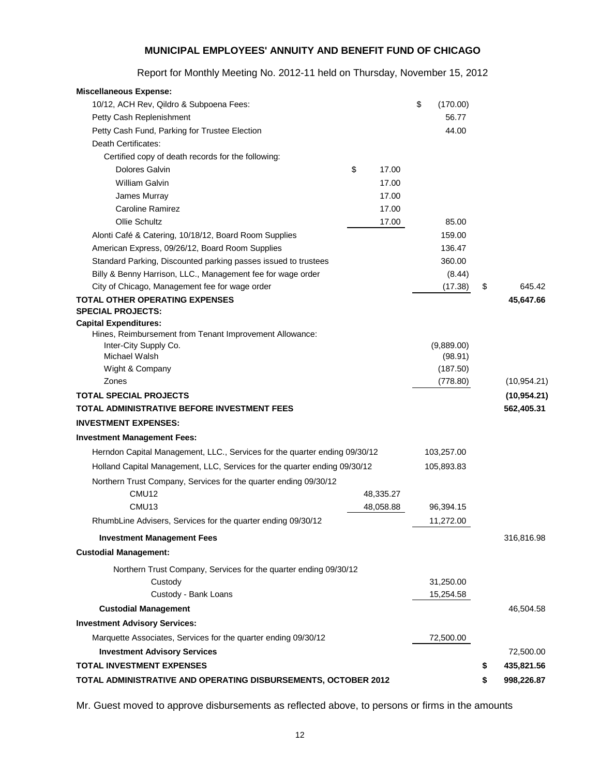| <b>Miscellaneous Expense:</b>                                                    |             |                |                  |
|----------------------------------------------------------------------------------|-------------|----------------|------------------|
| 10/12, ACH Rev, Qildro & Subpoena Fees:                                          |             | \$<br>(170.00) |                  |
| Petty Cash Replenishment                                                         |             | 56.77          |                  |
| Petty Cash Fund, Parking for Trustee Election                                    |             | 44.00          |                  |
| Death Certificates:                                                              |             |                |                  |
| Certified copy of death records for the following:                               |             |                |                  |
| <b>Dolores Galvin</b>                                                            | \$<br>17.00 |                |                  |
| William Galvin                                                                   | 17.00       |                |                  |
| James Murray                                                                     | 17.00       |                |                  |
| <b>Caroline Ramirez</b>                                                          | 17.00       |                |                  |
| Ollie Schultz                                                                    | 17.00       | 85.00          |                  |
| Alonti Café & Catering, 10/18/12, Board Room Supplies                            |             | 159.00         |                  |
| American Express, 09/26/12, Board Room Supplies                                  |             | 136.47         |                  |
| Standard Parking, Discounted parking passes issued to trustees                   |             | 360.00         |                  |
| Billy & Benny Harrison, LLC., Management fee for wage order                      |             | (8.44)         |                  |
| City of Chicago, Management fee for wage order                                   |             | (17.38)        | \$<br>645.42     |
| <b>TOTAL OTHER OPERATING EXPENSES</b>                                            |             |                | 45,647.66        |
| <b>SPECIAL PROJECTS:</b>                                                         |             |                |                  |
| <b>Capital Expenditures:</b>                                                     |             |                |                  |
| Hines, Reimbursement from Tenant Improvement Allowance:<br>Inter-City Supply Co. |             | (9,889.00)     |                  |
| Michael Walsh                                                                    |             | (98.91)        |                  |
| Wight & Company                                                                  |             | (187.50)       |                  |
| Zones                                                                            |             | (778.80)       | (10, 954.21)     |
| <b>TOTAL SPECIAL PROJECTS</b>                                                    |             |                | (10, 954.21)     |
| TOTAL ADMINISTRATIVE BEFORE INVESTMENT FEES                                      |             |                | 562,405.31       |
| <b>INVESTMENT EXPENSES:</b>                                                      |             |                |                  |
| <b>Investment Management Fees:</b>                                               |             |                |                  |
| Herndon Capital Management, LLC., Services for the quarter ending 09/30/12       |             | 103,257.00     |                  |
|                                                                                  |             | 105,893.83     |                  |
| Holland Capital Management, LLC, Services for the quarter ending 09/30/12        |             |                |                  |
| Northern Trust Company, Services for the quarter ending 09/30/12                 |             |                |                  |
| CMU12                                                                            | 48,335.27   |                |                  |
| CMU <sub>13</sub>                                                                | 48,058.88   | 96,394.15      |                  |
| RhumbLine Advisers, Services for the quarter ending 09/30/12                     |             | 11,272.00      |                  |
| <b>Investment Management Fees</b>                                                |             |                | 316,816.98       |
| <b>Custodial Management:</b>                                                     |             |                |                  |
| Northern Trust Company, Services for the quarter ending 09/30/12                 |             |                |                  |
| Custody                                                                          |             | 31,250.00      |                  |
| Custody - Bank Loans                                                             |             | 15,254.58      |                  |
| <b>Custodial Management</b>                                                      |             |                | 46,504.58        |
| <b>Investment Advisory Services:</b>                                             |             |                |                  |
| Marquette Associates, Services for the quarter ending 09/30/12                   |             | 72,500.00      |                  |
| <b>Investment Advisory Services</b>                                              |             |                | 72,500.00        |
| <b>TOTAL INVESTMENT EXPENSES</b>                                                 |             |                | \$<br>435,821.56 |
| TOTAL ADMINISTRATIVE AND OPERATING DISBURSEMENTS, OCTOBER 2012                   |             |                | \$<br>998,226.87 |
|                                                                                  |             |                |                  |

Report for Monthly Meeting No. 2012-11 held on Thursday, November 15, 2012

Mr. Guest moved to approve disbursements as reflected above, to persons or firms in the amounts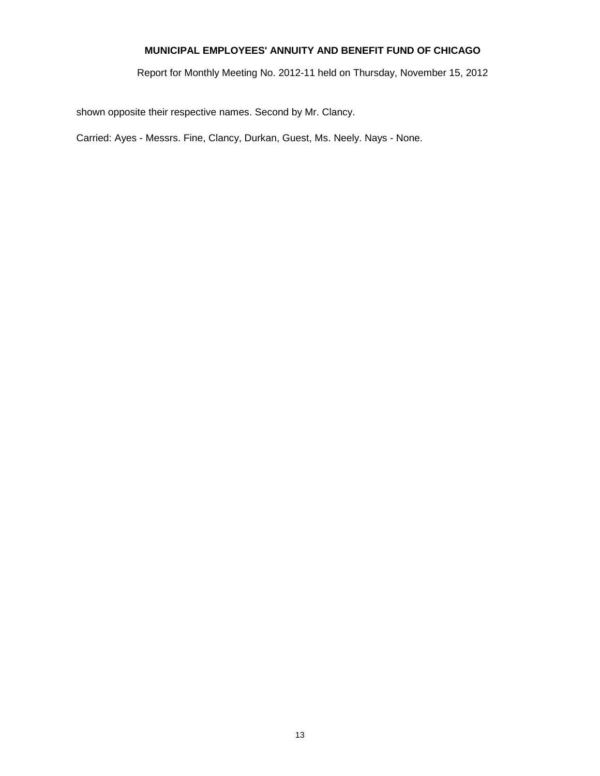Report for Monthly Meeting No. 2012-11 held on Thursday, November 15, 2012

shown opposite their respective names. Second by Mr. Clancy.

Carried: Ayes - Messrs. Fine, Clancy, Durkan, Guest, Ms. Neely. Nays - None.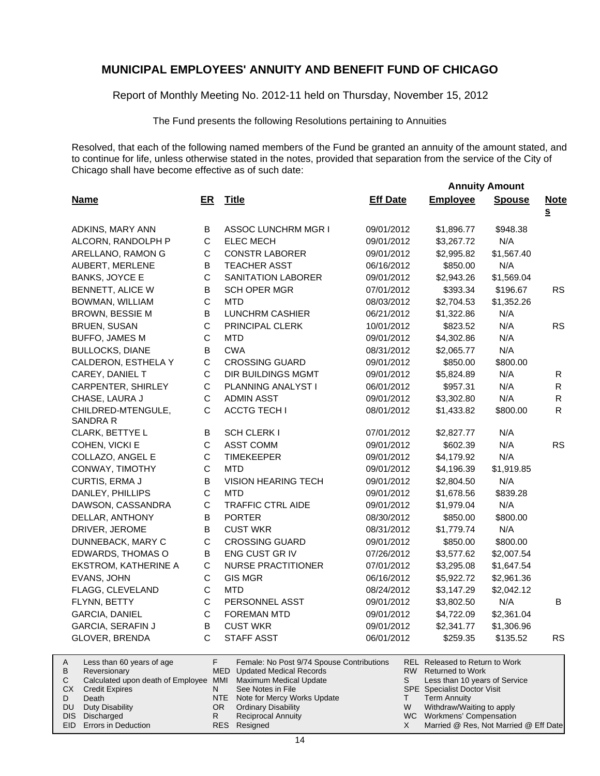Report of Monthly Meeting No. 2012-11 held on Thursday, November 15, 2012

The Fund presents the following Resolutions pertaining to Annuities

Resolved, that each of the following named members of the Fund be granted an annuity of the amount stated, and to continue for life, unless otherwise stated in the notes, provided that separation from the service of the City of Chicago shall have become effective as of such date:

 **Annuity Amount**

| <b>Name</b>                    | ER          | <b>Title</b>                              | <b>Eff Date</b> | <b>Employee</b>                       | <b>Spouse</b> | <b>Note</b><br>S |
|--------------------------------|-------------|-------------------------------------------|-----------------|---------------------------------------|---------------|------------------|
| ADKINS, MARY ANN               | B           | <b>ASSOC LUNCHRM MGR I</b>                | 09/01/2012      | \$1,896.77                            | \$948.38      |                  |
| ALCORN, RANDOLPH P             | $\mathsf C$ | <b>ELEC MECH</b>                          | 09/01/2012      | \$3,267.72                            | N/A           |                  |
| ARELLANO, RAMON G              | $\mathsf C$ | <b>CONSTR LABORER</b>                     | 09/01/2012      | \$2,995.82                            | \$1,567.40    |                  |
| AUBERT, MERLENE                | В           | <b>TEACHER ASST</b>                       | 06/16/2012      | \$850.00                              | N/A           |                  |
| <b>BANKS, JOYCE E</b>          | $\mathsf C$ | SANITATION LABORER                        | 09/01/2012      | \$2,943.26                            | \$1,569.04    |                  |
| BENNETT, ALICE W               | B           | <b>SCH OPER MGR</b>                       | 07/01/2012      | \$393.34                              | \$196.67      | <b>RS</b>        |
| BOWMAN, WILLIAM                | $\mathsf C$ | <b>MTD</b>                                | 08/03/2012      | \$2,704.53                            | \$1,352.26    |                  |
| <b>BROWN, BESSIE M</b>         | B           | LUNCHRM CASHIER                           | 06/21/2012      | \$1,322.86                            | N/A           |                  |
| <b>BRUEN, SUSAN</b>            | $\mathsf C$ | PRINCIPAL CLERK                           | 10/01/2012      | \$823.52                              | N/A           | <b>RS</b>        |
| <b>BUFFO, JAMES M</b>          | $\mathsf C$ | MTD                                       | 09/01/2012      | \$4,302.86                            | N/A           |                  |
| <b>BULLOCKS, DIANE</b>         | B           | <b>CWA</b>                                | 08/31/2012      | \$2,065.77                            | N/A           |                  |
| CALDERON, ESTHELA Y            | C           | <b>CROSSING GUARD</b>                     | 09/01/2012      | \$850.00                              | \$800.00      |                  |
| CAREY, DANIEL T                | $\mathsf C$ | DIR BUILDINGS MGMT                        | 09/01/2012      | \$5,824.89                            | N/A           | $\mathsf{R}$     |
| CARPENTER, SHIRLEY             | $\mathsf C$ | PLANNING ANALYST I                        | 06/01/2012      | \$957.31                              | N/A           | $\mathsf{R}$     |
| CHASE, LAURA J                 | $\mathsf C$ | <b>ADMIN ASST</b>                         | 09/01/2012      | \$3,302.80                            | N/A           | $\mathsf{R}$     |
| CHILDRED-MTENGULE,<br>SANDRA R | C           | <b>ACCTG TECH I</b>                       | 08/01/2012      | \$1,433.82                            | \$800.00      | R                |
| CLARK, BETTYE L                | B           | SCH CLERK I                               | 07/01/2012      | \$2,827.77                            | N/A           |                  |
| COHEN, VICKI E                 | C           | <b>ASST COMM</b>                          | 09/01/2012      | \$602.39                              | N/A           | <b>RS</b>        |
| COLLAZO, ANGEL E               | $\mathsf C$ | <b>TIMEKEEPER</b>                         | 09/01/2012      | \$4,179.92                            | N/A           |                  |
| CONWAY, TIMOTHY                | $\mathsf C$ | <b>MTD</b>                                | 09/01/2012      | \$4,196.39                            | \$1,919.85    |                  |
| CURTIS, ERMA J                 | В           | <b>VISION HEARING TECH</b>                | 09/01/2012      | \$2,804.50                            | N/A           |                  |
| DANLEY, PHILLIPS               | $\mathsf C$ | <b>MTD</b>                                | 09/01/2012      | \$1,678.56                            | \$839.28      |                  |
| DAWSON, CASSANDRA              | C           | <b>TRAFFIC CTRL AIDE</b>                  | 09/01/2012      | \$1,979.04                            | N/A           |                  |
| DELLAR, ANTHONY                | B           | <b>PORTER</b>                             | 08/30/2012      | \$850.00                              | \$800.00      |                  |
| DRIVER, JEROME                 | B           | <b>CUST WKR</b>                           | 08/31/2012      | \$1,779.74                            | N/A           |                  |
| DUNNEBACK, MARY C              | $\mathsf C$ | <b>CROSSING GUARD</b>                     | 09/01/2012      | \$850.00                              | \$800.00      |                  |
| EDWARDS, THOMAS O              | B           | ENG CUST GR IV                            | 07/26/2012      | \$3,577.62                            | \$2,007.54    |                  |
| EKSTROM, KATHERINE A           | $\mathsf C$ | <b>NURSE PRACTITIONER</b>                 | 07/01/2012      | \$3,295.08                            | \$1,647.54    |                  |
| EVANS, JOHN                    | $\mathsf C$ | <b>GIS MGR</b>                            | 06/16/2012      | \$5,922.72                            | \$2,961.36    |                  |
| FLAGG, CLEVELAND               | $\mathsf C$ | <b>MTD</b>                                | 08/24/2012      | \$3,147.29                            | \$2,042.12    |                  |
| FLYNN, BETTY                   | C           | PERSONNEL ASST                            | 09/01/2012      | \$3,802.50                            | N/A           | B                |
| GARCIA, DANIEL                 | $\mathsf C$ | <b>FOREMAN MTD</b>                        | 09/01/2012      | \$4,722.09                            | \$2,361.04    |                  |
| <b>GARCIA, SERAFIN J</b>       | В           | <b>CUST WKR</b>                           | 09/01/2012      | \$2,341.77                            | \$1,306.96    |                  |
| GLOVER, BRENDA                 | C           | STAFF ASST                                | 06/01/2012      | \$259.35                              | \$135.52      | RS               |
| Less than 60 years of age      | F           | Female: No Post 9/74 Spouse Contributions |                 | <b>REL</b> Released to Return to Work |               |                  |

|    | Less than 60 years of age                                    |     | Female: No Post 9/74 Spouse Contributions |   | REL Released to Return to Work        |
|----|--------------------------------------------------------------|-----|-------------------------------------------|---|---------------------------------------|
| В  | Reversionary                                                 |     | MED Updated Medical Records               |   | RW Returned to Work                   |
|    | Calculated upon death of Employee MMI Maximum Medical Update |     |                                           |   | Less than 10 years of Service         |
| CХ | Credit Expires                                               | N   | See Notes in File                         |   | <b>SPE</b> Specialist Doctor Visit    |
|    | Death                                                        |     | NTE Note for Mercy Works Update           |   | <b>Term Annuity</b>                   |
|    | DU Duty Disability                                           | OR. | <b>Ordinary Disability</b>                | W | Withdraw/Waiting to apply             |
|    | DIS Discharged                                               | R   | <b>Reciprocal Annuity</b>                 |   | WC Workmens' Compensation             |
|    | <b>EID</b> Errors in Deduction                               |     | RES Resigned                              |   | Married @ Res, Not Married @ Eff Date |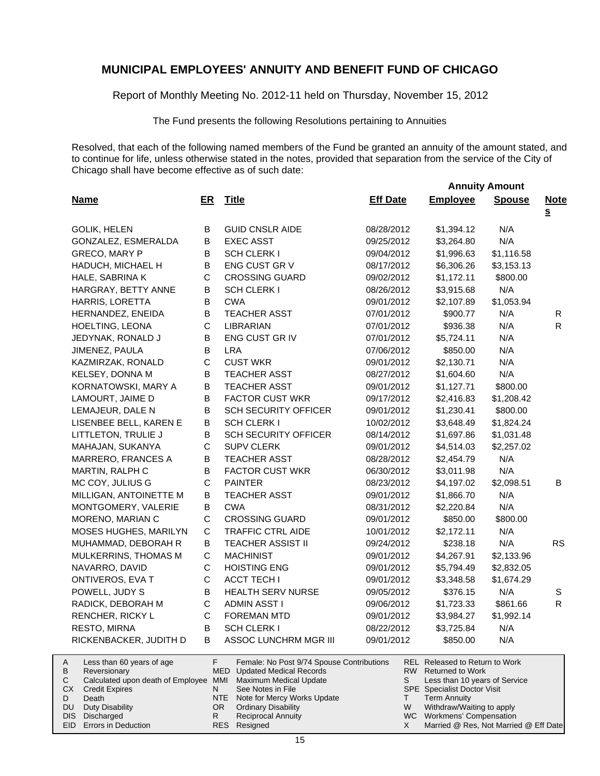Report of Monthly Meeting No. 2012-11 held on Thursday, November 15, 2012

The Fund presents the following Resolutions pertaining to Annuities

Resolved, that each of the following named members of the Fund be granted an annuity of the amount stated, and to continue for life, unless otherwise stated in the notes, provided that separation from the service of the City of Chicago shall have become effective as of such date:

 **Annuity Amount**

| <b>Name</b>                                         | ER          |            | <b>Title</b>                                                                    | <b>Eff Date</b> |         | <b>Employee</b>                                       | <b>Spouse</b> | <b>Note</b>  |
|-----------------------------------------------------|-------------|------------|---------------------------------------------------------------------------------|-----------------|---------|-------------------------------------------------------|---------------|--------------|
|                                                     |             |            |                                                                                 |                 |         |                                                       |               | $\mathbf{s}$ |
| <b>GOLIK, HELEN</b>                                 | B           |            | <b>GUID CNSLR AIDE</b>                                                          | 08/28/2012      |         | \$1,394.12                                            | N/A           |              |
| GONZALEZ, ESMERALDA                                 | В           |            | <b>EXEC ASST</b>                                                                | 09/25/2012      |         | \$3,264.80                                            | N/A           |              |
| GRECO, MARY P                                       | В           |            | <b>SCH CLERK I</b>                                                              | 09/04/2012      |         | \$1,996.63                                            | \$1,116.58    |              |
| HADUCH, MICHAEL H                                   | B<br>C      |            | ENG CUST GR V                                                                   | 08/17/2012      |         | \$6,306.26                                            | \$3,153.13    |              |
| HALE, SABRINA K                                     |             |            | <b>CROSSING GUARD</b>                                                           | 09/02/2012      |         | \$1,172.11                                            | \$800.00      |              |
| HARGRAY, BETTY ANNE                                 | В           |            | <b>SCH CLERK I</b>                                                              | 08/26/2012      |         | \$3,915.68                                            | N/A           |              |
| HARRIS, LORETTA                                     | В           |            | <b>CWA</b>                                                                      | 09/01/2012      |         | \$2,107.89                                            | \$1,053.94    |              |
| HERNANDEZ, ENEIDA                                   | В           |            | <b>TEACHER ASST</b>                                                             | 07/01/2012      |         | \$900.77                                              | N/A           | R            |
| HOELTING, LEONA                                     | C           |            | LIBRARIAN                                                                       | 07/01/2012      |         | \$936.38                                              | N/A           | $\mathsf{R}$ |
| JEDYNAK, RONALD J                                   | B           |            | ENG CUST GR IV                                                                  | 07/01/2012      |         | \$5,724.11                                            | N/A           |              |
| JIMENEZ, PAULA                                      | B           | <b>LRA</b> |                                                                                 | 07/06/2012      |         | \$850.00                                              | N/A           |              |
| KAZMIRZAK, RONALD                                   | С           |            | <b>CUST WKR</b>                                                                 | 09/01/2012      |         | \$2,130.71                                            | N/A           |              |
| KELSEY, DONNA M                                     | В           |            | <b>TEACHER ASST</b>                                                             | 08/27/2012      |         | \$1,604.60                                            | N/A           |              |
| KORNATOWSKI, MARY A                                 | В           |            | TEACHER ASST                                                                    | 09/01/2012      |         | \$1,127.71                                            | \$800.00      |              |
| LAMOURT, JAIME D                                    | B           |            | <b>FACTOR CUST WKR</b>                                                          | 09/17/2012      |         | \$2,416.83                                            | \$1,208.42    |              |
| LEMAJEUR, DALE N                                    | В           |            | <b>SCH SECURITY OFFICER</b>                                                     | 09/01/2012      |         | \$1,230.41                                            | \$800.00      |              |
| LISENBEE BELL, KAREN E                              | В           |            | <b>SCH CLERK I</b>                                                              | 10/02/2012      |         | \$3,648.49                                            | \$1,824.24    |              |
| LITTLETON, TRULIE J                                 | В           |            | <b>SCH SECURITY OFFICER</b>                                                     | 08/14/2012      |         | \$1,697.86                                            | \$1,031.48    |              |
| MAHAJAN, SUKANYA                                    | C           |            | <b>SUPV CLERK</b>                                                               | 09/01/2012      |         | \$4,514.03                                            | \$2,257.02    |              |
| MARRERO, FRANCES A                                  | В           |            | <b>TEACHER ASST</b>                                                             | 08/28/2012      |         | \$2,454.79                                            | N/A           |              |
| MARTIN, RALPH C                                     | В           |            | <b>FACTOR CUST WKR</b>                                                          | 06/30/2012      |         | \$3,011.98                                            | N/A           |              |
| MC COY, JULIUS G                                    | $\mathsf C$ |            | <b>PAINTER</b>                                                                  | 08/23/2012      |         | \$4,197.02                                            | \$2,098.51    | В            |
| MILLIGAN, ANTOINETTE M                              | B           |            | TEACHER ASST                                                                    | 09/01/2012      |         | \$1,866.70                                            | N/A           |              |
| MONTGOMERY, VALERIE                                 | В           |            | <b>CWA</b>                                                                      | 08/31/2012      |         | \$2,220.84                                            | N/A           |              |
| MORENO, MARIAN C                                    | $\mathsf C$ |            | <b>CROSSING GUARD</b>                                                           | 09/01/2012      |         | \$850.00                                              | \$800.00      |              |
| MOSES HUGHES, MARILYN                               | С           |            | TRAFFIC CTRL AIDE                                                               | 10/01/2012      |         | \$2,172.11                                            | N/A           |              |
| MUHAMMAD, DEBORAH R                                 | В           |            | <b>TEACHER ASSIST II</b>                                                        | 09/24/2012      |         | \$238.18                                              | N/A           | <b>RS</b>    |
| MULKERRINS, THOMAS M                                | C           |            | <b>MACHINIST</b>                                                                | 09/01/2012      |         | \$4,267.91                                            | \$2,133.96    |              |
| NAVARRO, DAVID                                      | С           |            | <b>HOISTING ENG</b>                                                             | 09/01/2012      |         | \$5,794.49                                            | \$2,832.05    |              |
| ONTIVEROS, EVA T                                    | C           |            | <b>ACCT TECH I</b>                                                              | 09/01/2012      |         | \$3,348.58                                            | \$1,674.29    |              |
| POWELL, JUDY S                                      | B           |            | HEALTH SERV NURSE                                                               | 09/05/2012      |         | \$376.15                                              | N/A           | S            |
| RADICK, DEBORAH M                                   | C           |            | <b>ADMIN ASST I</b>                                                             | 09/06/2012      |         | \$1,723.33                                            | \$861.66      | R            |
| RENCHER, RICKY L                                    | C           |            | <b>FOREMAN MTD</b>                                                              | 09/01/2012      |         | \$3,984.27                                            | \$1,992.14    |              |
| RESTO, MIRNA                                        | B.          |            | <b>SCH CLERK I</b>                                                              | 08/22/2012      |         | \$3,725.84                                            | N/A           |              |
| RICKENBACKER, JUDITH D                              | В           |            | ASSOC LUNCHRM MGR III                                                           | 09/01/2012      |         | \$850.00                                              | N/A           |              |
| Less than 60 years of age<br>A<br>В<br>Reversionary |             | F.         | Female: No Post 9/74 Spouse Contributions<br><b>MED</b> Updated Medical Records |                 |         | REL Released to Return to Work<br>RW Returned to Work |               |              |
| С<br>Calculated upon death of Employee MMI          |             |            | Maximum Medical Update                                                          |                 | S       | Less than 10 years of Service                         |               |              |
| СX<br><b>Credit Expires</b>                         |             | N.         | See Notes in File                                                               |                 |         | SPE Specialist Doctor Visit                           |               |              |
| D<br>Death                                          |             | NTE<br>OR. | Note for Mercy Works Update                                                     |                 | T.<br>W | <b>Term Annuity</b><br>Withdraw/Waiting to apply      |               |              |
| DU<br><b>Duty Disability</b><br>Discharged<br>DIS.  |             | R.         | <b>Ordinary Disability</b><br><b>Reciprocal Annuity</b>                         |                 |         | WC Workmens' Compensation                             |               |              |
| Errors in Deduction<br>EID                          |             |            | RES Resigned                                                                    |                 | X.      | Married @ Res, Not Married @ Eff Date                 |               |              |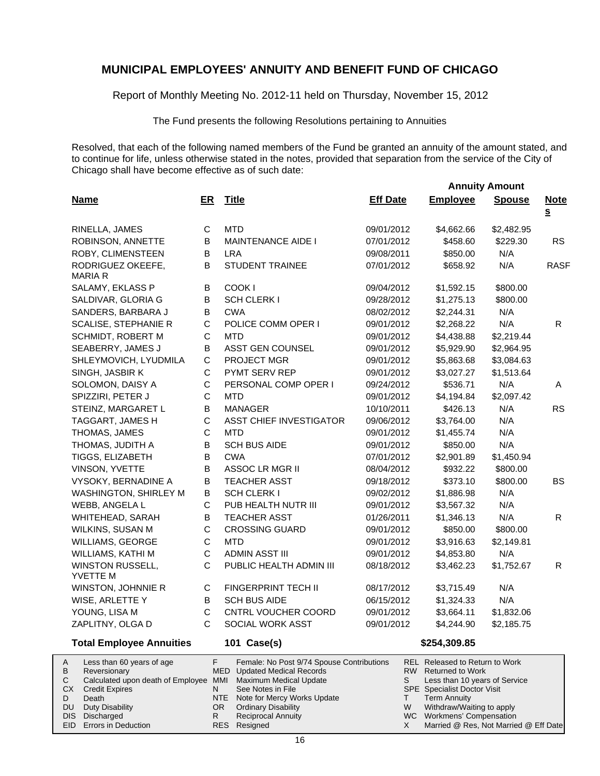Report of Monthly Meeting No. 2012-11 held on Thursday, November 15, 2012

The Fund presents the following Resolutions pertaining to Annuities

Resolved, that each of the following named members of the Fund be granted an annuity of the amount stated, and to continue for life, unless otherwise stated in the notes, provided that separation from the service of the City of Chicago shall have become effective as of such date:

|                                     |              |                                           |                 | <b>Annuity Amount</b>         |               |                                      |
|-------------------------------------|--------------|-------------------------------------------|-----------------|-------------------------------|---------------|--------------------------------------|
| <b>Name</b>                         | ER           | <b>Title</b>                              | <b>Eff Date</b> | <b>Employee</b>               | <b>Spouse</b> | <b>Note</b>                          |
|                                     |              |                                           |                 |                               |               | $\underline{\underline{\mathbf{S}}}$ |
| RINELLA, JAMES                      | С            | <b>MTD</b>                                | 09/01/2012      | \$4,662.66                    | \$2,482.95    |                                      |
| ROBINSON, ANNETTE                   | B            | <b>MAINTENANCE AIDE I</b>                 | 07/01/2012      | \$458.60                      | \$229.30      | <b>RS</b>                            |
| ROBY, CLIMENSTEEN                   | В            | <b>LRA</b>                                | 09/08/2011      | \$850.00                      | N/A           |                                      |
| RODRIGUEZ OKEEFE,<br>MARIA R        | B            | <b>STUDENT TRAINEE</b>                    | 07/01/2012      | \$658.92                      | N/A           | <b>RASF</b>                          |
| SALAMY, EKLASS P                    | В            | COOK I                                    | 09/04/2012      | \$1,592.15                    | \$800.00      |                                      |
| SALDIVAR, GLORIA G                  | B            | <b>SCH CLERK I</b>                        | 09/28/2012      | \$1,275.13                    | \$800.00      |                                      |
| SANDERS, BARBARA J                  | В            | <b>CWA</b>                                | 08/02/2012      | \$2,244.31                    | N/A           |                                      |
| <b>SCALISE, STEPHANIE R</b>         | $\mathsf C$  | POLICE COMM OPER I                        | 09/01/2012      | \$2,268.22                    | N/A           | R.                                   |
| SCHMIDT, ROBERT M                   | $\mathsf C$  | <b>MTD</b>                                | 09/01/2012      | \$4,438.88                    | \$2,219.44    |                                      |
| SEABERRY, JAMES J                   | B            | ASST GEN COUNSEL                          | 09/01/2012      | \$5,929.90                    | \$2,964.95    |                                      |
| SHLEYMOVICH, LYUDMILA               | C            | PROJECT MGR                               | 09/01/2012      | \$5,863.68                    | \$3,084.63    |                                      |
| SINGH, JASBIR K                     | C            | PYMT SERV REP                             | 09/01/2012      | \$3,027.27                    | \$1,513.64    |                                      |
| SOLOMON, DAISY A                    | C            | PERSONAL COMP OPER I                      | 09/24/2012      | \$536.71                      | N/A           | A                                    |
| SPIZZIRI, PETER J                   | C            | <b>MTD</b>                                | 09/01/2012      | \$4,194.84                    | \$2,097.42    |                                      |
| STEINZ, MARGARET L                  | В            | <b>MANAGER</b>                            | 10/10/2011      | \$426.13                      | N/A           | <b>RS</b>                            |
| TAGGART, JAMES H                    | C            | <b>ASST CHIEF INVESTIGATOR</b>            | 09/06/2012      | \$3,764.00                    | N/A           |                                      |
| THOMAS, JAMES                       | C            | <b>MTD</b>                                | 09/01/2012      | \$1,455.74                    | N/A           |                                      |
| THOMAS, JUDITH A                    | B            | <b>SCH BUS AIDE</b>                       | 09/01/2012      | \$850.00                      | N/A           |                                      |
| TIGGS, ELIZABETH                    | В            | <b>CWA</b>                                | 07/01/2012      | \$2,901.89                    | \$1,450.94    |                                      |
| VINSON, YVETTE                      | B            | <b>ASSOC LR MGR II</b>                    | 08/04/2012      | \$932.22                      | \$800.00      |                                      |
| VYSOKY, BERNADINE A                 | B            | <b>TEACHER ASST</b>                       | 09/18/2012      | \$373.10                      | \$800.00      | <b>BS</b>                            |
| WASHINGTON, SHIRLEY M               | B            | SCH CLERK I                               | 09/02/2012      | \$1,886.98                    | N/A           |                                      |
| WEBB, ANGELA L                      | С            | PUB HEALTH NUTR III                       | 09/01/2012      | \$3,567.32                    | N/A           |                                      |
| WHITEHEAD, SARAH                    | В            | <b>TEACHER ASST</b>                       | 01/26/2011      | \$1,346.13                    | N/A           | R                                    |
| WILKINS, SUSAN M                    | C            | <b>CROSSING GUARD</b>                     | 09/01/2012      | \$850.00                      | \$800.00      |                                      |
| WILLIAMS, GEORGE                    | C            | <b>MTD</b>                                | 09/01/2012      | \$3,916.63                    | \$2,149.81    |                                      |
| WILLIAMS, KATHI M                   | C            | <b>ADMIN ASST III</b>                     | 09/01/2012      | \$4,853.80                    | N/A           |                                      |
| <b>WINSTON RUSSELL,</b><br>YVETTE M | C            | PUBLIC HEALTH ADMIN III                   | 08/18/2012      | \$3,462.23                    | \$1,752.67    | R.                                   |
| WINSTON, JOHNNIE R                  | С            | FINGERPRINT TECH II                       | 08/17/2012      | \$3,715.49                    | N/A           |                                      |
| WISE, ARLETTE Y                     | В            | <b>SCH BUS AIDE</b>                       | 06/15/2012      | \$1,324.33                    | N/A           |                                      |
| YOUNG, LISA M                       | C            | CNTRL VOUCHER COORD                       | 09/01/2012      | \$3,664.11                    | \$1,832.06    |                                      |
| ZAPLITNY, OLGA D                    | C            | SOCIAL WORK ASST                          | 09/01/2012      | \$4,244.90                    | \$2,185.75    |                                      |
| <b>Total Employee Annuities</b>     |              | 101 Case(s)                               |                 | \$254,309.85                  |               |                                      |
| conthon CO voors of one             | $\mathbf{r}$ | Female: Ne Deat 0/74 Chause Captributions |                 | DEL Delegand to Detroit Marie |               |                                      |

|           | Less than 60 years of age                                    |     | Female: No Post 9/74 Spouse Contributions |   | <b>REL Released to Return to Work</b> |
|-----------|--------------------------------------------------------------|-----|-------------------------------------------|---|---------------------------------------|
| B         | Reversionary                                                 |     | MED Updated Medical Records               |   | RW Returned to Work                   |
|           | Calculated upon death of Employee MMI Maximum Medical Update |     |                                           |   | Less than 10 years of Service         |
| СX        | <b>Credit Expires</b>                                        | N   | See Notes in File                         |   | <b>SPE</b> Specialist Doctor Visit    |
|           | Death                                                        |     | NTE Note for Mercy Works Update           |   | <b>Term Annuity</b>                   |
| <b>DU</b> | Duty Disability                                              | OR. | <b>Ordinary Disability</b>                | W | Withdraw/Waiting to apply             |
|           | DIS Discharged                                               |     | <b>Reciprocal Annuity</b>                 |   | WC Workmens' Compensation             |
|           | <b>EID</b> Errors in Deduction                               |     | RES Resigned                              |   | Married @ Res, Not Married @ Eff Date |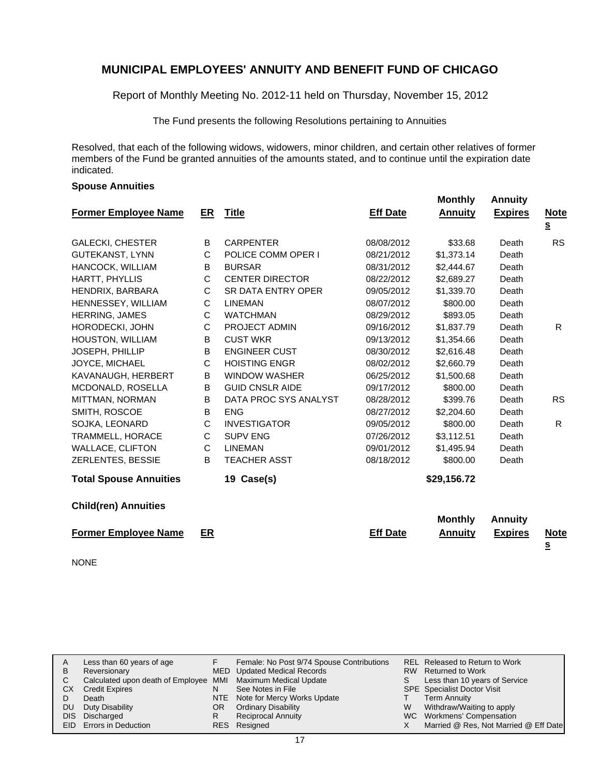Report of Monthly Meeting No. 2012-11 held on Thursday, November 15, 2012

The Fund presents the following Resolutions pertaining to Annuities

Resolved, that each of the following widows, widowers, minor children, and certain other relatives of former members of the Fund be granted annuities of the amounts stated, and to continue until the expiration date indicated.

#### **Spouse Annuities**

| <b>Former Employee Name</b>   | ER | <b>Title</b>              | <b>Eff Date</b> | <b>Monthly</b><br><b>Annuity</b> | <b>Annuity</b><br><b>Expires</b> | <b>Note</b>                          |
|-------------------------------|----|---------------------------|-----------------|----------------------------------|----------------------------------|--------------------------------------|
|                               |    |                           |                 |                                  |                                  | $\underline{\underline{\mathbf{s}}}$ |
| <b>GALECKI, CHESTER</b>       | B  | <b>CARPENTER</b>          | 08/08/2012      | \$33.68                          | Death                            | <b>RS</b>                            |
| <b>GUTEKANST, LYNN</b>        | C  | POLICE COMM OPER I        | 08/21/2012      | \$1,373.14                       | Death                            |                                      |
| HANCOCK, WILLIAM              | B  | <b>BURSAR</b>             | 08/31/2012      | \$2,444.67                       | Death                            |                                      |
| HARTT, PHYLLIS                | C  | <b>CENTER DIRECTOR</b>    | 08/22/2012      | \$2,689.27                       | Death                            |                                      |
| HENDRIX, BARBARA              | C  | <b>SR DATA ENTRY OPER</b> | 09/05/2012      | \$1,339.70                       | Death                            |                                      |
| HENNESSEY, WILLIAM            | C  | <b>LINEMAN</b>            | 08/07/2012      | \$800.00                         | Death                            |                                      |
| HERRING, JAMES                | C  | <b>WATCHMAN</b>           | 08/29/2012      | \$893.05                         | Death                            |                                      |
| HORODECKI, JOHN               | С  | PROJECT ADMIN             | 09/16/2012      | \$1,837.79                       | Death                            | R                                    |
| HOUSTON, WILLIAM              | В  | <b>CUST WKR</b>           | 09/13/2012      | \$1,354.66                       | Death                            |                                      |
| <b>JOSEPH, PHILLIP</b>        | В  | <b>ENGINEER CUST</b>      | 08/30/2012      | \$2,616.48                       | Death                            |                                      |
| JOYCE, MICHAEL                | C  | <b>HOISTING ENGR</b>      | 08/02/2012      | \$2,660.79                       | Death                            |                                      |
| KAVANAUGH, HERBERT            | В  | <b>WINDOW WASHER</b>      | 06/25/2012      | \$1,500.68                       | Death                            |                                      |
| MCDONALD, ROSELLA             | B  | <b>GUID CNSLR AIDE</b>    | 09/17/2012      | \$800.00                         | Death                            |                                      |
| MITTMAN, NORMAN               | В  | DATA PROC SYS ANALYST     | 08/28/2012      | \$399.76                         | Death                            | <b>RS</b>                            |
| SMITH, ROSCOE                 | B  | <b>ENG</b>                | 08/27/2012      | \$2,204.60                       | Death                            |                                      |
| SOJKA, LEONARD                | C  | <b>INVESTIGATOR</b>       | 09/05/2012      | \$800.00                         | Death                            | R                                    |
| TRAMMELL, HORACE              | C  | <b>SUPV ENG</b>           | 07/26/2012      | \$3,112.51                       | Death                            |                                      |
| <b>WALLACE, CLIFTON</b>       | C  | <b>LINEMAN</b>            | 09/01/2012      | \$1,495.94                       | Death                            |                                      |
| ZERLENTES, BESSIE             | B  | <b>TEACHER ASST</b>       | 08/18/2012      | \$800.00                         | Death                            |                                      |
| <b>Total Spouse Annuities</b> |    | 19 Case(s)                |                 | \$29,156.72                      |                                  |                                      |
| <b>Child(ren) Annuities</b>   |    |                           |                 |                                  |                                  |                                      |
|                               |    |                           |                 | <b>Monthly</b>                   | <b>Annuity</b>                   |                                      |
| <b>Former Employee Name</b>   | ER |                           | <b>Eff Date</b> | <b>Annuity</b>                   | <b>Expires</b>                   | <b>Note</b><br><u>s</u>              |
| <b>NONE</b>                   |    |                           |                 |                                  |                                  |                                      |

| Α  | Less than 60 years of age                                    |     | Female: No Post 9/74 Spouse Contributions |    | REL Released to Return to Work        |
|----|--------------------------------------------------------------|-----|-------------------------------------------|----|---------------------------------------|
| В  | Reversionary                                                 |     | MED Updated Medical Records               |    | RW Returned to Work                   |
|    | Calculated upon death of Employee MMI Maximum Medical Update |     |                                           | S. | Less than 10 years of Service         |
| CХ | <b>Credit Expires</b>                                        | N   | See Notes in File                         |    | <b>SPE</b> Specialist Doctor Visit    |
|    | Death                                                        |     | NTE Note for Mercy Works Update           |    | <b>Term Annuity</b>                   |
| DU | Duty Disability                                              | OR. | <b>Ordinary Disability</b>                | W  | Withdraw/Waiting to apply             |
|    | DIS Discharged                                               | R   | <b>Reciprocal Annuity</b>                 |    | WC Workmens' Compensation             |
|    | EID Errors in Deduction                                      |     | RES Resigned                              |    | Married @ Res, Not Married @ Eff Date |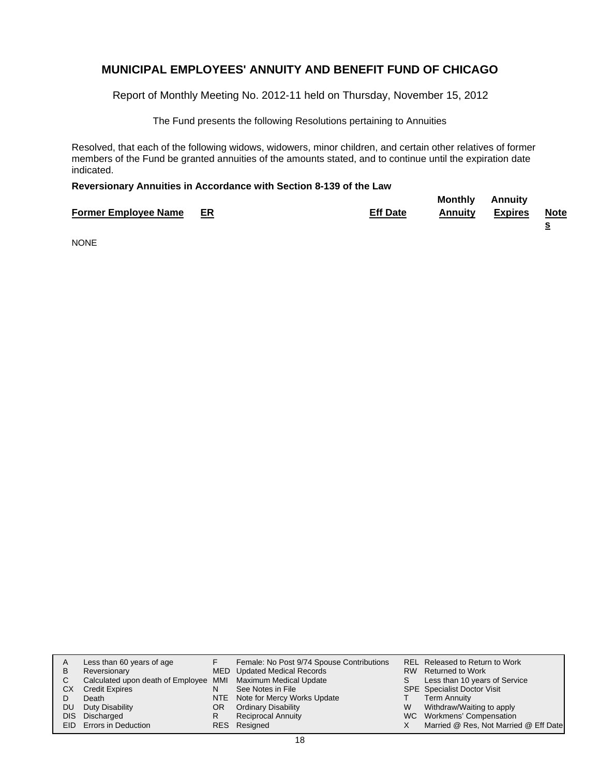Report of Monthly Meeting No. 2012-11 held on Thursday, November 15, 2012

The Fund presents the following Resolutions pertaining to Annuities

Resolved, that each of the following widows, widowers, minor children, and certain other relatives of former members of the Fund be granted annuities of the amounts stated, and to continue until the expiration date indicated.

#### **Reversionary Annuities in Accordance with Section 8-139 of the Law**

|                                |                 | <b>Monthly</b> | Annuity        |             |
|--------------------------------|-----------------|----------------|----------------|-------------|
| <b>Former Employee Name ER</b> | <b>Eff Date</b> | Annuitv        | <b>Expires</b> | <b>Note</b> |
|                                |                 |                |                |             |

NONE

| A  | Less than 60 years of age                                    |     | Female: No Post 9/74 Spouse Contributions |    | <b>REL Released to Return to Work</b> |
|----|--------------------------------------------------------------|-----|-------------------------------------------|----|---------------------------------------|
| в  | Reversionary                                                 |     | MED Updated Medical Records               |    | RW Returned to Work                   |
| C. | Calculated upon death of Employee MMI Maximum Medical Update |     |                                           | S. | Less than 10 years of Service         |
| CХ | <b>Credit Expires</b>                                        |     | See Notes in File                         |    | SPE Specialist Doctor Visit           |
|    | Death                                                        |     | NTE Note for Mercy Works Update           |    | <b>Term Annuity</b>                   |
| DU | Duty Disability                                              | OR. | <b>Ordinary Disability</b>                | W  | Withdraw/Waiting to apply             |
|    | DIS Discharged                                               |     | <b>Reciprocal Annuity</b>                 |    | WC Workmens' Compensation             |
|    | EID Errors in Deduction                                      |     | RES Resigned                              |    | Married @ Res, Not Married @ Eff Date |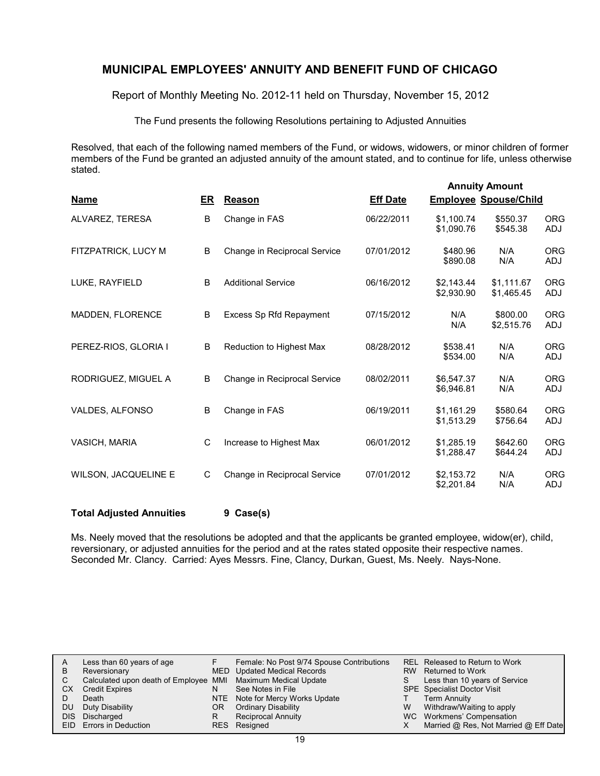Report of Monthly Meeting No. 2012-11 held on Thursday, November 15, 2012

The Fund presents the following Resolutions pertaining to Adjusted Annuities

Resolved, that each of the following named members of the Fund, or widows, widowers, or minor children of former members of the Fund be granted an adjusted annuity of the amount stated, and to continue for life, unless otherwise stated.

|                             |    |                              |                 |                          | <b>Annuity Amount</b>        |                          |
|-----------------------------|----|------------------------------|-----------------|--------------------------|------------------------------|--------------------------|
| <b>Name</b>                 | ER | Reason                       | <b>Eff Date</b> |                          | <b>Employee Spouse/Child</b> |                          |
| ALVAREZ, TERESA             | B  | Change in FAS                | 06/22/2011      | \$1,100.74<br>\$1.090.76 | \$550.37<br>\$545.38         | <b>ORG</b><br><b>ADJ</b> |
| FITZPATRICK, LUCY M         | B  | Change in Reciprocal Service | 07/01/2012      | \$480.96<br>\$890.08     | N/A<br>N/A                   | <b>ORG</b><br>ADJ        |
| LUKE, RAYFIELD              | B  | <b>Additional Service</b>    | 06/16/2012      | \$2,143.44<br>\$2,930.90 | \$1,111.67<br>\$1,465.45     | <b>ORG</b><br>ADJ        |
| <b>MADDEN, FLORENCE</b>     | B  | Excess Sp Rfd Repayment      | 07/15/2012      | N/A<br>N/A               | \$800.00<br>\$2,515.76       | <b>ORG</b><br>ADJ        |
| PEREZ-RIOS, GLORIA I        | B  | Reduction to Highest Max     | 08/28/2012      | \$538.41<br>\$534.00     | N/A<br>N/A                   | <b>ORG</b><br><b>ADJ</b> |
| RODRIGUEZ, MIGUEL A         | B  | Change in Reciprocal Service | 08/02/2011      | \$6,547.37<br>\$6,946.81 | N/A<br>N/A                   | <b>ORG</b><br>ADJ        |
| VALDES, ALFONSO             | B  | Change in FAS                | 06/19/2011      | \$1,161.29<br>\$1,513.29 | \$580.64<br>\$756.64         | <b>ORG</b><br><b>ADJ</b> |
| <b>VASICH, MARIA</b>        | C  | Increase to Highest Max      | 06/01/2012      | \$1.285.19<br>\$1,288.47 | \$642.60<br>\$644.24         | <b>ORG</b><br>ADJ        |
| <b>WILSON, JACQUELINE E</b> | C  | Change in Reciprocal Service | 07/01/2012      | \$2,153.72<br>\$2,201.84 | N/A<br>N/A                   | <b>ORG</b><br>ADJ        |

**Total Adjusted Annuities 9 Case(s)**

Ms. Neely moved that the resolutions be adopted and that the applicants be granted employee, widow(er), child, reversionary, or adjusted annuities for the period and at the rates stated opposite their respective names. Seconded Mr. Clancy. Carried: Ayes Messrs. Fine, Clancy, Durkan, Guest, Ms. Neely. Nays-None.

|    | Less than 60 years of age                                    |    | Female: No Post 9/74 Spouse Contributions |    | REL Released to Return to Work        |
|----|--------------------------------------------------------------|----|-------------------------------------------|----|---------------------------------------|
| B  | Reversionary                                                 |    | MED Updated Medical Records               |    | RW Returned to Work                   |
|    | Calculated upon death of Employee MMI Maximum Medical Update |    |                                           | S. | Less than 10 years of Service         |
| CХ | <b>Credit Expires</b>                                        |    | See Notes in File                         |    | <b>SPE</b> Specialist Doctor Visit    |
|    | Death                                                        |    | NTE Note for Mercy Works Update           |    | Term Annuity                          |
| DU | Duty Disability                                              | ΟR | Ordinary Disability                       | W  | Withdraw/Waiting to apply             |
|    | DIS Discharged                                               |    | <b>Reciprocal Annuity</b>                 |    | WC Workmens' Compensation             |
|    | EID Errors in Deduction                                      |    | RES Resigned                              |    | Married @ Res, Not Married @ Eff Date |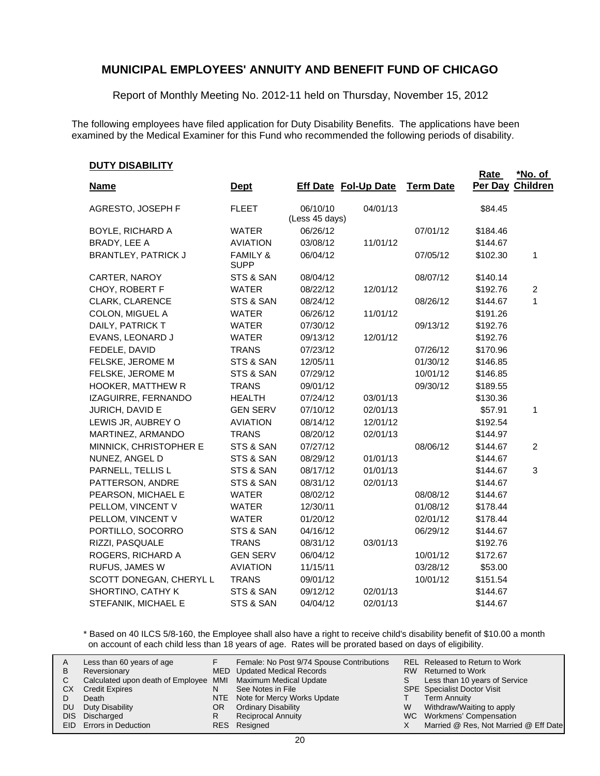Report of Monthly Meeting No. 2012-11 held on Thursday, November 15, 2012

The following employees have filed application for Duty Disability Benefits. The applications have been examined by the Medical Examiner for this Fund who recommended the following periods of disability.

| <b>Name</b>                | <u>Dept</u>                        |                | <b>Eff Date Fol-Up Date</b> | <b>Term Date</b> | Rate<br>Per Day | *No. of<br>Children |
|----------------------------|------------------------------------|----------------|-----------------------------|------------------|-----------------|---------------------|
| AGRESTO, JOSEPH F          | <b>FLEET</b>                       | 06/10/10       | 04/01/13                    |                  | \$84.45         |                     |
|                            |                                    | (Less 45 days) |                             |                  |                 |                     |
| BOYLE, RICHARD A           | <b>WATER</b>                       | 06/26/12       |                             | 07/01/12         | \$184.46        |                     |
| BRADY, LEE A               | <b>AVIATION</b>                    | 03/08/12       | 11/01/12                    |                  | \$144.67        |                     |
| <b>BRANTLEY, PATRICK J</b> | <b>FAMILY &amp;</b><br><b>SUPP</b> | 06/04/12       |                             | 07/05/12         | \$102.30        | 1                   |
| CARTER, NAROY              | STS & SAN                          | 08/04/12       |                             | 08/07/12         | \$140.14        |                     |
| CHOY, ROBERT F             | <b>WATER</b>                       | 08/22/12       | 12/01/12                    |                  | \$192.76        | $\overline{c}$      |
| CLARK, CLARENCE            | STS & SAN                          | 08/24/12       |                             | 08/26/12         | \$144.67        | $\mathbf{1}$        |
| COLON, MIGUEL A            | <b>WATER</b>                       | 06/26/12       | 11/01/12                    |                  | \$191.26        |                     |
| DAILY, PATRICK T           | <b>WATER</b>                       | 07/30/12       |                             | 09/13/12         | \$192.76        |                     |
| EVANS, LEONARD J           | <b>WATER</b>                       | 09/13/12       | 12/01/12                    |                  | \$192.76        |                     |
| FEDELE, DAVID              | <b>TRANS</b>                       | 07/23/12       |                             | 07/26/12         | \$170.96        |                     |
| FELSKE, JEROME M           | STS & SAN                          | 12/05/11       |                             | 01/30/12         | \$146.85        |                     |
| FELSKE, JEROME M           | STS & SAN                          | 07/29/12       |                             | 10/01/12         | \$146.85        |                     |
| <b>HOOKER, MATTHEW R</b>   | <b>TRANS</b>                       | 09/01/12       |                             | 09/30/12         | \$189.55        |                     |
| IZAGUIRRE, FERNANDO        | <b>HEALTH</b>                      | 07/24/12       | 03/01/13                    |                  | \$130.36        |                     |
| JURICH, DAVID E            | <b>GEN SERV</b>                    | 07/10/12       | 02/01/13                    |                  | \$57.91         | 1                   |
| LEWIS JR, AUBREY O         | <b>AVIATION</b>                    | 08/14/12       | 12/01/12                    |                  | \$192.54        |                     |
| MARTINEZ, ARMANDO          | <b>TRANS</b>                       | 08/20/12       | 02/01/13                    |                  | \$144.97        |                     |
| MINNICK, CHRISTOPHER E     | STS & SAN                          | 07/27/12       |                             | 08/06/12         | \$144.67        | $\overline{2}$      |
| NUNEZ, ANGEL D             | STS & SAN                          | 08/29/12       | 01/01/13                    |                  | \$144.67        |                     |
| PARNELL, TELLIS L          | STS & SAN                          | 08/17/12       | 01/01/13                    |                  | \$144.67        | 3                   |
| PATTERSON, ANDRE           | STS & SAN                          | 08/31/12       | 02/01/13                    |                  | \$144.67        |                     |
| PEARSON, MICHAEL E         | <b>WATER</b>                       | 08/02/12       |                             | 08/08/12         | \$144.67        |                     |
| PELLOM, VINCENT V          | <b>WATER</b>                       | 12/30/11       |                             | 01/08/12         | \$178.44        |                     |
| PELLOM, VINCENT V          | <b>WATER</b>                       | 01/20/12       |                             | 02/01/12         | \$178.44        |                     |
| PORTILLO, SOCORRO          | STS & SAN                          | 04/16/12       |                             | 06/29/12         | \$144.67        |                     |
| RIZZI, PASQUALE            | <b>TRANS</b>                       | 08/31/12       | 03/01/13                    |                  | \$192.76        |                     |
| ROGERS, RICHARD A          | <b>GEN SERV</b>                    | 06/04/12       |                             | 10/01/12         | \$172.67        |                     |
| RUFUS, JAMES W             | <b>AVIATION</b>                    | 11/15/11       |                             | 03/28/12         | \$53.00         |                     |
| SCOTT DONEGAN, CHERYL L    | <b>TRANS</b>                       | 09/01/12       |                             | 10/01/12         | \$151.54        |                     |
| SHORTINO, CATHY K          | STS & SAN                          | 09/12/12       | 02/01/13                    |                  | \$144.67        |                     |
| STEFANIK, MICHAEL E        | STS & SAN                          | 04/04/12       | 02/01/13                    |                  | \$144.67        |                     |

\* Based on 40 ILCS 5/8-160, the Employee shall also have a right to receive child's disability benefit of \$10.00 a month on account of each child less than 18 years of age. Rates will be prorated based on days of eligibility.

| A<br>в<br>СX<br>DU | Less than 60 years of age<br>Reversionary<br>Calculated upon death of Employee MMI Maximum Medical Update<br><b>Credit Expires</b><br>Death<br>Duty Disability<br>DIS Discharged<br>EID Errors in Deduction | N<br>OR<br>R | Female: No Post 9/74 Spouse Contributions<br>MED Updated Medical Records<br>See Notes in File<br>NTE Note for Mercy Works Update<br><b>Ordinary Disability</b><br><b>Reciprocal Annuity</b><br>RES Resigned | S.<br>W | REL Released to Return to Work<br>RW Returned to Work<br>Less than 10 years of Service<br><b>SPE</b> Specialist Doctor Visit<br><b>Term Annuity</b><br>Withdraw/Waiting to apply<br>WC Workmens' Compensation<br>Married @ Res, Not Married @ Eff Date |
|--------------------|-------------------------------------------------------------------------------------------------------------------------------------------------------------------------------------------------------------|--------------|-------------------------------------------------------------------------------------------------------------------------------------------------------------------------------------------------------------|---------|--------------------------------------------------------------------------------------------------------------------------------------------------------------------------------------------------------------------------------------------------------|
|--------------------|-------------------------------------------------------------------------------------------------------------------------------------------------------------------------------------------------------------|--------------|-------------------------------------------------------------------------------------------------------------------------------------------------------------------------------------------------------------|---------|--------------------------------------------------------------------------------------------------------------------------------------------------------------------------------------------------------------------------------------------------------|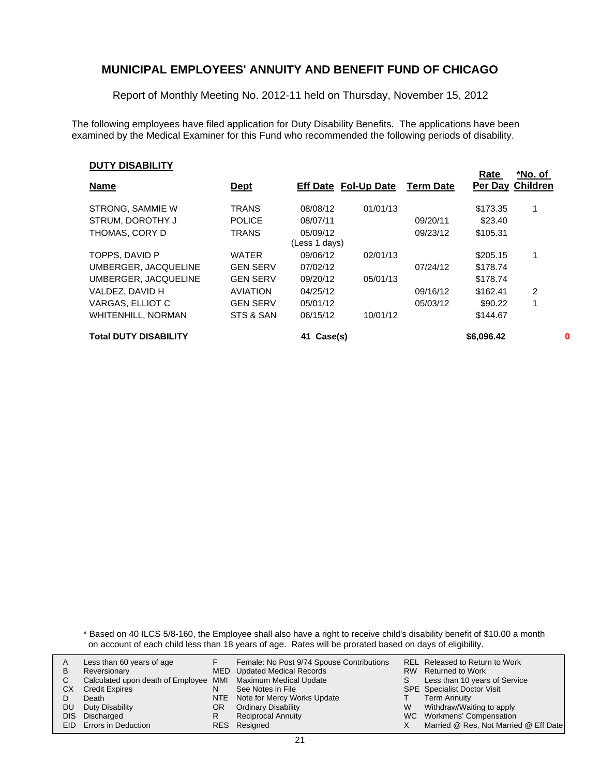Report of Monthly Meeting No. 2012-11 held on Thursday, November 15, 2012

The following employees have filed application for Duty Disability Benefits. The applications have been examined by the Medical Examiner for this Fund who recommended the following periods of disability.

#### **DUTY DISABILITY**

|                              |                 |                             |          |                  | Rate             | *No. of        |   |
|------------------------------|-----------------|-----------------------------|----------|------------------|------------------|----------------|---|
| <b>Name</b>                  | <u>Dept</u>     | <b>Eff Date Fol-Up Date</b> |          | <b>Term Date</b> | Per Day Children |                |   |
| STRONG, SAMMIE W             | <b>TRANS</b>    | 08/08/12                    | 01/01/13 |                  | \$173.35         | 1              |   |
| STRUM, DOROTHY J             | <b>POLICE</b>   | 08/07/11                    |          | 09/20/11         | \$23.40          |                |   |
| THOMAS, CORY D               | <b>TRANS</b>    | 05/09/12                    |          | 09/23/12         | \$105.31         |                |   |
|                              |                 | (Less 1 days)               |          |                  |                  |                |   |
| TOPPS, DAVID P               | <b>WATER</b>    | 09/06/12                    | 02/01/13 |                  | \$205.15         | 1              |   |
| UMBERGER, JACQUELINE         | <b>GEN SERV</b> | 07/02/12                    |          | 07/24/12         | \$178.74         |                |   |
| UMBERGER, JACQUELINE         | <b>GEN SERV</b> | 09/20/12                    | 05/01/13 |                  | \$178.74         |                |   |
| VALDEZ, DAVID H              | <b>AVIATION</b> | 04/25/12                    |          | 09/16/12         | \$162.41         | $\overline{2}$ |   |
| VARGAS, ELLIOT C             | <b>GEN SERV</b> | 05/01/12                    |          | 05/03/12         | \$90.22          |                |   |
| <b>WHITENHILL, NORMAN</b>    | STS & SAN       | 06/15/12                    | 10/01/12 |                  | \$144.67         |                |   |
| <b>Total DUTY DISABILITY</b> |                 | Case(s)<br>41               |          |                  | \$6,096.42       |                | 0 |

\* Based on 40 ILCS 5/8-160, the Employee shall also have a right to receive child's disability benefit of \$10.00 a month on account of each child less than 18 years of age. Rates will be prorated based on days of eligibility.

| A<br>В<br>СX<br>DU | Less than 60 years of age<br>Reversionary<br>Calculated upon death of Employee MMI Maximum Medical Update<br><b>Credit Expires</b><br>Death<br>Duty Disability<br>DIS Discharged<br>EID Errors in Deduction | N<br>OR<br>R | Female: No Post 9/74 Spouse Contributions<br>MED Updated Medical Records<br>See Notes in File<br>NTE Note for Mercy Works Update<br><b>Ordinary Disability</b><br><b>Reciprocal Annuity</b><br>RES Resigned | W | REL Released to Return to Work<br>RW Returned to Work<br>Less than 10 years of Service<br><b>SPE</b> Specialist Doctor Visit<br><b>Term Annuity</b><br>Withdraw/Waiting to apply<br>WC Workmens' Compensation<br>Married @ Res, Not Married @ Eff Date |
|--------------------|-------------------------------------------------------------------------------------------------------------------------------------------------------------------------------------------------------------|--------------|-------------------------------------------------------------------------------------------------------------------------------------------------------------------------------------------------------------|---|--------------------------------------------------------------------------------------------------------------------------------------------------------------------------------------------------------------------------------------------------------|
|--------------------|-------------------------------------------------------------------------------------------------------------------------------------------------------------------------------------------------------------|--------------|-------------------------------------------------------------------------------------------------------------------------------------------------------------------------------------------------------------|---|--------------------------------------------------------------------------------------------------------------------------------------------------------------------------------------------------------------------------------------------------------|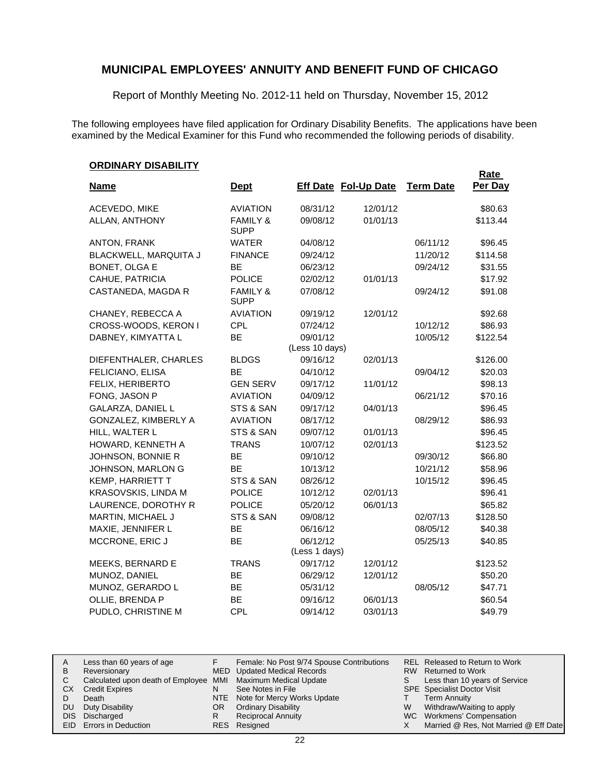Report of Monthly Meeting No. 2012-11 held on Thursday, November 15, 2012

The following employees have filed application for Ordinary Disability Benefits. The applications have been examined by the Medical Examiner for this Fund who recommended the following periods of disability.

#### **ORDINARY DISABILITY**

|                          |                                    |                             |          |                  | <b>Rate</b> |
|--------------------------|------------------------------------|-----------------------------|----------|------------------|-------------|
| <b>Name</b>              | <u>Dept</u>                        | <b>Eff Date Fol-Up Date</b> |          | <b>Term Date</b> | Per Day     |
| ACEVEDO, MIKE            | <b>AVIATION</b>                    | 08/31/12                    | 12/01/12 |                  | \$80.63     |
| ALLAN, ANTHONY           | <b>FAMILY &amp;</b><br><b>SUPP</b> | 09/08/12                    | 01/01/13 |                  | \$113.44    |
| <b>ANTON, FRANK</b>      | <b>WATER</b>                       | 04/08/12                    |          | 06/11/12         | \$96.45     |
| BLACKWELL, MARQUITA J    | <b>FINANCE</b>                     | 09/24/12                    |          | 11/20/12         | \$114.58    |
| BONET, OLGA E            | <b>BE</b>                          | 06/23/12                    |          | 09/24/12         | \$31.55     |
| CAHUE, PATRICIA          | <b>POLICE</b>                      | 02/02/12                    | 01/01/13 |                  | \$17.92     |
| CASTANEDA, MAGDA R       | <b>FAMILY &amp;</b><br><b>SUPP</b> | 07/08/12                    |          | 09/24/12         | \$91.08     |
| CHANEY, REBECCA A        | <b>AVIATION</b>                    | 09/19/12                    | 12/01/12 |                  | \$92.68     |
| CROSS-WOODS, KERON I     | <b>CPL</b>                         | 07/24/12                    |          | 10/12/12         | \$86.93     |
| DABNEY, KIMYATTA L       | BE                                 | 09/01/12<br>(Less 10 days)  |          | 10/05/12         | \$122.54    |
| DIEFENTHALER, CHARLES    | <b>BLDGS</b>                       | 09/16/12                    | 02/01/13 |                  | \$126.00    |
| FELICIANO, ELISA         | BE                                 | 04/10/12                    |          | 09/04/12         | \$20.03     |
| FELIX, HERIBERTO         | <b>GEN SERV</b>                    | 09/17/12                    | 11/01/12 |                  | \$98.13     |
| FONG, JASON P            | <b>AVIATION</b>                    | 04/09/12                    |          | 06/21/12         | \$70.16     |
| <b>GALARZA, DANIEL L</b> | STS & SAN                          | 09/17/12                    | 04/01/13 |                  | \$96.45     |
| GONZALEZ, KIMBERLY A     | <b>AVIATION</b>                    | 08/17/12                    |          | 08/29/12         | \$86.93     |
| HILL, WALTER L           | STS & SAN                          | 09/07/12                    | 01/01/13 |                  | \$96.45     |
| HOWARD, KENNETH A        | <b>TRANS</b>                       | 10/07/12                    | 02/01/13 |                  | \$123.52    |
| JOHNSON, BONNIE R        | <b>BE</b>                          | 09/10/12                    |          | 09/30/12         | \$66.80     |
| JOHNSON, MARLON G        | <b>BE</b>                          | 10/13/12                    |          | 10/21/12         | \$58.96     |
| <b>KEMP, HARRIETT T</b>  | STS & SAN                          | 08/26/12                    |          | 10/15/12         | \$96.45     |
| KRASOVSKIS, LINDA M      | <b>POLICE</b>                      | 10/12/12                    | 02/01/13 |                  | \$96.41     |
| LAURENCE, DOROTHY R      | <b>POLICE</b>                      | 05/20/12                    | 06/01/13 |                  | \$65.82     |
| MARTIN, MICHAEL J        | STS & SAN                          | 09/08/12                    |          | 02/07/13         | \$128.50    |
| MAXIE, JENNIFER L        | <b>BE</b>                          | 06/16/12                    |          | 08/05/12         | \$40.38     |
| MCCRONE, ERIC J          | BE                                 | 06/12/12<br>(Less 1 days)   |          | 05/25/13         | \$40.85     |
| MEEKS, BERNARD E         | <b>TRANS</b>                       | 09/17/12                    | 12/01/12 |                  | \$123.52    |
| MUNOZ, DANIEL            | BE                                 | 06/29/12                    | 12/01/12 |                  | \$50.20     |
| MUNOZ, GERARDO L         | <b>BE</b>                          | 05/31/12                    |          | 08/05/12         | \$47.71     |
| OLLIE, BRENDA P          | <b>BE</b>                          | 09/16/12                    | 06/01/13 |                  | \$60.54     |
| PUDLO, CHRISTINE M       | CPL                                | 09/14/12                    | 03/01/13 |                  | \$49.79     |

|     | Less than 60 years of age                                    |    | Female: No Post 9/74 Spouse Contributions |   | REL Released to Return to Work        |
|-----|--------------------------------------------------------------|----|-------------------------------------------|---|---------------------------------------|
| В   | Reversionary                                                 |    | MED Updated Medical Records               |   | RW Returned to Work                   |
|     | Calculated upon death of Employee MMI Maximum Medical Update |    |                                           |   | Less than 10 years of Service         |
| CХ  | <b>Credit Expires</b>                                        | N  | See Notes in File                         |   | <b>SPE</b> Specialist Doctor Visit    |
|     | Death                                                        |    | NTE Note for Mercy Works Update           |   | <b>Term Annuity</b>                   |
| DU. | Duty Disability                                              | OR | <b>Ordinary Disability</b>                | W | Withdraw/Waiting to apply             |
|     | DIS Discharged                                               | R  | <b>Reciprocal Annuity</b>                 |   | WC Workmens' Compensation             |
|     | <b>EID</b> Errors in Deduction                               |    | RES Resigned                              |   | Married @ Res, Not Married @ Eff Date |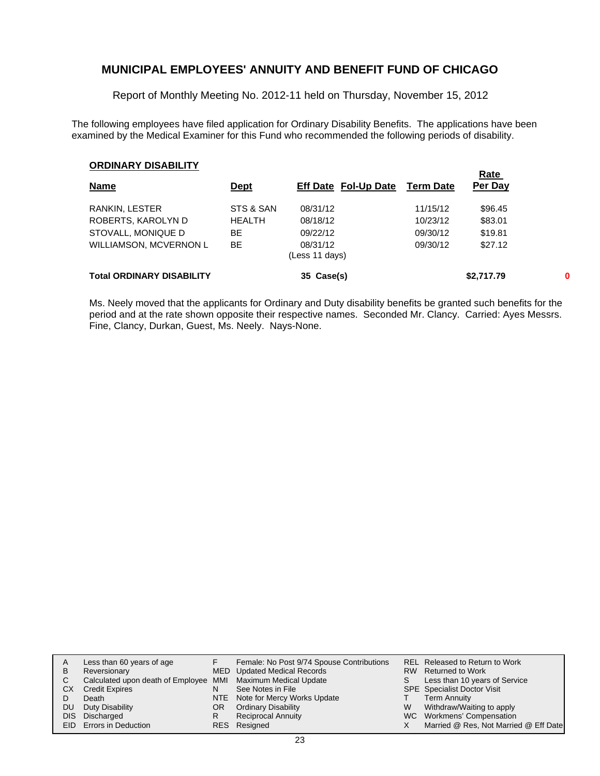Report of Monthly Meeting No. 2012-11 held on Thursday, November 15, 2012

The following employees have filed application for Ordinary Disability Benefits. The applications have been examined by the Medical Examiner for this Fund who recommended the following periods of disability.

#### **ORDINARY DISABILITY**

|                                  |               |                            |           | <b>Rate</b> |   |
|----------------------------------|---------------|----------------------------|-----------|-------------|---|
| <b>Name</b>                      | <u>Dept</u>   | Eff Date Fol-Up Date       | Term Date | Per Day     |   |
| RANKIN, LESTER                   | STS & SAN     | 08/31/12                   | 11/15/12  | \$96.45     |   |
| ROBERTS, KAROLYN D               | <b>HEALTH</b> | 08/18/12                   | 10/23/12  | \$83.01     |   |
| STOVALL, MONIQUE D               | ВE            | 09/22/12                   | 09/30/12  | \$19.81     |   |
| <b>WILLIAMSON, MCVERNON L</b>    | <b>BE</b>     | 08/31/12<br>(Less 11 days) | 09/30/12  | \$27.12     |   |
| <b>Total ORDINARY DISABILITY</b> |               | 35 Case(s)                 |           | \$2,717.79  | 0 |

Ms. Neely moved that the applicants for Ordinary and Duty disability benefits be granted such benefits for the period and at the rate shown opposite their respective names. Seconded Mr. Clancy. Carried: Ayes Messrs. Fine, Clancy, Durkan, Guest, Ms. Neely. Nays-None.

|     | Less than 60 years of age                                    |    | Female: No Post 9/74 Spouse Contributions |    | REL Released to Return to Work        |
|-----|--------------------------------------------------------------|----|-------------------------------------------|----|---------------------------------------|
| B   | Reversionary                                                 |    | MED Updated Medical Records               |    | RW Returned to Work                   |
|     | Calculated upon death of Employee MMI Maximum Medical Update |    |                                           | S. | Less than 10 years of Service         |
| CХ  | <b>Credit Expires</b>                                        | N  | See Notes in File                         |    | <b>SPE</b> Specialist Doctor Visit    |
|     | Death                                                        |    | NTE Note for Mercy Works Update           |    | <b>Term Annuity</b>                   |
| DU. | Duty Disability                                              | OR | <b>Ordinary Disability</b>                | W  | Withdraw/Waiting to apply             |
|     | DIS Discharged                                               | R  | <b>Reciprocal Annuity</b>                 |    | WC Workmens' Compensation             |
|     | <b>EID</b> Errors in Deduction                               |    | RES Resigned                              |    | Married @ Res, Not Married @ Eff Date |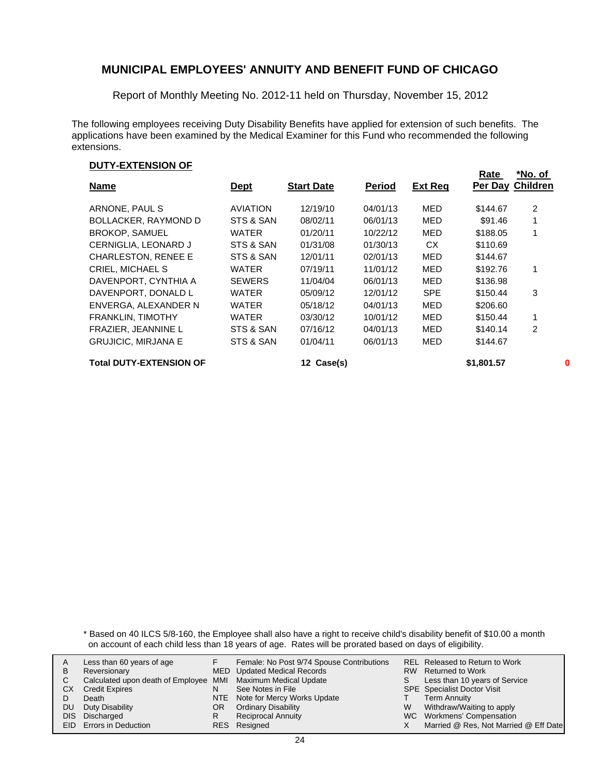Report of Monthly Meeting No. 2012-11 held on Thursday, November 15, 2012

The following employees receiving Duty Disability Benefits have applied for extension of such benefits. The applications have been examined by the Medical Examiner for this Fund who recommended the following extensions.

#### **DUTY-EXTENSION OF**

|                                |                 |                   |               |                | Rate       | *No. of          |
|--------------------------------|-----------------|-------------------|---------------|----------------|------------|------------------|
| <b>Name</b>                    | <b>Dept</b>     | <b>Start Date</b> | <b>Period</b> | <b>Ext Reg</b> |            | Per Day Children |
| ARNONE, PAUL S                 | <b>AVIATION</b> | 12/19/10          | 04/01/13      | MED            | \$144.67   | 2                |
| <b>BOLLACKER, RAYMOND D</b>    | STS & SAN       | 08/02/11          | 06/01/13      | MED            | \$91.46    | 1                |
| <b>BROKOP, SAMUEL</b>          | <b>WATER</b>    | 01/20/11          | 10/22/12      | MED            | \$188.05   |                  |
| CERNIGLIA, LEONARD J           | STS & SAN       | 01/31/08          | 01/30/13      | CX.            | \$110.69   |                  |
| <b>CHARLESTON, RENEE E</b>     | STS & SAN       | 12/01/11          | 02/01/13      | MED            | \$144.67   |                  |
| <b>CRIEL, MICHAEL S</b>        | <b>WATER</b>    | 07/19/11          | 11/01/12      | MED            | \$192.76   | 1                |
| DAVENPORT, CYNTHIA A           | <b>SEWERS</b>   | 11/04/04          | 06/01/13      | MED            | \$136.98   |                  |
| DAVENPORT, DONALD L            | <b>WATER</b>    | 05/09/12          | 12/01/12      | <b>SPE</b>     | \$150.44   | 3                |
| ENVERGA, ALEXANDER N           | WATER           | 05/18/12          | 04/01/13      | MED            | \$206.60   |                  |
| <b>FRANKLIN, TIMOTHY</b>       | <b>WATER</b>    | 03/30/12          | 10/01/12      | MED            | \$150.44   | 1                |
| <b>FRAZIER, JEANNINE L</b>     | STS & SAN       | 07/16/12          | 04/01/13      | MED            | \$140.14   | 2                |
| <b>GRUJICIC, MIRJANA E</b>     | STS & SAN       | 01/04/11          | 06/01/13      | MED            | \$144.67   |                  |
| <b>Total DUTY-EXTENSION OF</b> |                 | 12 Case(s)        |               |                | \$1,801.57 | 0                |

\* Based on 40 ILCS 5/8-160, the Employee shall also have a right to receive child's disability benefit of \$10.00 a month on account of each child less than 18 years of age. Rates will be prorated based on days of eligibility.

| A<br>B<br>СX | Less than 60 years of age<br>Reversionary<br>Calculated upon death of Employee MMI Maximum Medical Update<br><b>Credit Expires</b><br>Death | N   | Female: No Post 9/74 Spouse Contributions<br>MED Updated Medical Records<br>See Notes in File<br>NTE Note for Mercy Works Update | S. | REL Released to Return to Work<br>RW Returned to Work<br>Less than 10 years of Service<br><b>SPE</b> Specialist Doctor Visit<br><b>Term Annuity</b> |
|--------------|---------------------------------------------------------------------------------------------------------------------------------------------|-----|----------------------------------------------------------------------------------------------------------------------------------|----|-----------------------------------------------------------------------------------------------------------------------------------------------------|
| DU.          | Duty Disability                                                                                                                             | OR. | <b>Ordinary Disability</b>                                                                                                       | W  | Withdraw/Waiting to apply                                                                                                                           |
|              | DIS Discharged                                                                                                                              | R   | <b>Reciprocal Annuity</b>                                                                                                        |    | WC Workmens' Compensation                                                                                                                           |
|              | EID Errors in Deduction                                                                                                                     |     | RES Resigned                                                                                                                     |    | Married @ Res, Not Married @ Eff Date                                                                                                               |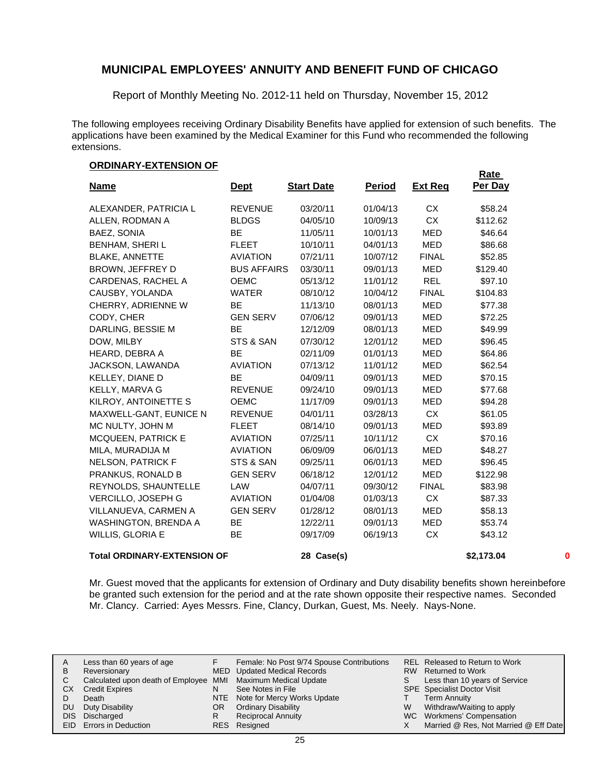Report of Monthly Meeting No. 2012-11 held on Thursday, November 15, 2012

The following employees receiving Ordinary Disability Benefits have applied for extension of such benefits. The applications have been examined by the Medical Examiner for this Fund who recommended the following extensions.

**Rate** 

#### **ORDINARY-EXTENSION OF**

| <u>Name</u>                        | <u>Dept</u>        | <b>Start Date</b> | <b>Period</b> | <b>Ext Req</b> | <u>naic</u><br>Per Day |   |
|------------------------------------|--------------------|-------------------|---------------|----------------|------------------------|---|
| ALEXANDER, PATRICIA L              | <b>REVENUE</b>     | 03/20/11          | 01/04/13      | CX             | \$58.24                |   |
| ALLEN, RODMAN A                    | <b>BLDGS</b>       | 04/05/10          | 10/09/13      | <b>CX</b>      | \$112.62               |   |
| BAEZ, SONIA                        | <b>BE</b>          | 11/05/11          | 10/01/13      | <b>MED</b>     | \$46.64                |   |
| <b>BENHAM, SHERIL</b>              | <b>FLEET</b>       | 10/10/11          | 04/01/13      | MED            | \$86.68                |   |
| <b>BLAKE, ANNETTE</b>              | <b>AVIATION</b>    | 07/21/11          | 10/07/12      | <b>FINAL</b>   | \$52.85                |   |
| BROWN, JEFFREY D                   | <b>BUS AFFAIRS</b> | 03/30/11          | 09/01/13      | <b>MED</b>     | \$129.40               |   |
| CARDENAS, RACHEL A                 | <b>OEMC</b>        | 05/13/12          | 11/01/12      | <b>REL</b>     | \$97.10                |   |
| CAUSBY, YOLANDA                    | <b>WATER</b>       | 08/10/12          | 10/04/12      | <b>FINAL</b>   | \$104.83               |   |
| CHERRY, ADRIENNE W                 | <b>BE</b>          | 11/13/10          | 08/01/13      | MED            | \$77.38                |   |
| CODY, CHER                         | <b>GEN SERV</b>    | 07/06/12          | 09/01/13      | MED            | \$72.25                |   |
| DARLING, BESSIE M                  | BE                 | 12/12/09          | 08/01/13      | MED            | \$49.99                |   |
| DOW, MILBY                         | STS & SAN          | 07/30/12          | 12/01/12      | <b>MED</b>     | \$96.45                |   |
| HEARD, DEBRA A                     | <b>BE</b>          | 02/11/09          | 01/01/13      | <b>MED</b>     | \$64.86                |   |
| JACKSON, LAWANDA                   | <b>AVIATION</b>    | 07/13/12          | 11/01/12      | MED            | \$62.54                |   |
| KELLEY, DIANE D                    | <b>BE</b>          | 04/09/11          | 09/01/13      | <b>MED</b>     | \$70.15                |   |
| KELLY, MARVA G                     | <b>REVENUE</b>     | 09/24/10          | 09/01/13      | <b>MED</b>     | \$77.68                |   |
| KILROY, ANTOINETTE S               | <b>OEMC</b>        | 11/17/09          | 09/01/13      | MED            | \$94.28                |   |
| MAXWELL-GANT, EUNICE N             | <b>REVENUE</b>     | 04/01/11          | 03/28/13      | CX             | \$61.05                |   |
| MC NULTY, JOHN M                   | <b>FLEET</b>       | 08/14/10          | 09/01/13      | <b>MED</b>     | \$93.89                |   |
| <b>MCQUEEN, PATRICK E</b>          | <b>AVIATION</b>    | 07/25/11          | 10/11/12      | CX             | \$70.16                |   |
| MILA, MURADIJA M                   | <b>AVIATION</b>    | 06/09/09          | 06/01/13      | MED            | \$48.27                |   |
| <b>NELSON, PATRICK F</b>           | STS & SAN          | 09/25/11          | 06/01/13      | MED            | \$96.45                |   |
| PRANKUS, RONALD B                  | <b>GEN SERV</b>    | 06/18/12          | 12/01/12      | MED            | \$122.98               |   |
| REYNOLDS, SHAUNTELLE               | LAW                | 04/07/11          | 09/30/12      | <b>FINAL</b>   | \$83.98                |   |
| VERCILLO, JOSEPH G                 | <b>AVIATION</b>    | 01/04/08          | 01/03/13      | <b>CX</b>      | \$87.33                |   |
| VILLANUEVA, CARMEN A               | <b>GEN SERV</b>    | 01/28/12          | 08/01/13      | MED            | \$58.13                |   |
| <b>WASHINGTON, BRENDA A</b>        | ВE                 | 12/22/11          | 09/01/13      | MED            | \$53.74                |   |
| WILLIS, GLORIA E                   | BE                 | 09/17/09          | 06/19/13      | CX             | \$43.12                |   |
| <b>Total ORDINARY-EXTENSION OF</b> |                    | 28 Case(s)        |               |                | \$2,173.04             | 0 |

Mr. Guest moved that the applicants for extension of Ordinary and Duty disability benefits shown hereinbefore be granted such extension for the period and at the rate shown opposite their respective names. Seconded Mr. Clancy. Carried: Ayes Messrs. Fine, Clancy, Durkan, Guest, Ms. Neely. Nays-None.

| A         | Less than 60 years of age                                    |     | Female: No Post 9/74 Spouse Contributions |   | REL Released to Return to Work        |
|-----------|--------------------------------------------------------------|-----|-------------------------------------------|---|---------------------------------------|
| B         | Reversionary                                                 |     | MED Updated Medical Records               |   | RW Returned to Work                   |
|           | Calculated upon death of Employee MMI Maximum Medical Update |     |                                           |   | Less than 10 years of Service         |
| СX        | <b>Credit Expires</b>                                        | N   | See Notes in File                         |   | <b>SPE</b> Specialist Doctor Visit    |
|           | Death                                                        |     | NTE Note for Mercy Works Update           |   | <b>Term Annuity</b>                   |
| <b>DU</b> | Duty Disability                                              | OR. | <b>Ordinary Disability</b>                | W | Withdraw/Waiting to apply             |
| DIS.      | Discharged                                                   |     | <b>Reciprocal Annuity</b>                 |   | WC Workmens' Compensation             |
|           | EID Errors in Deduction                                      |     | RES Resigned                              |   | Married @ Res, Not Married @ Eff Date |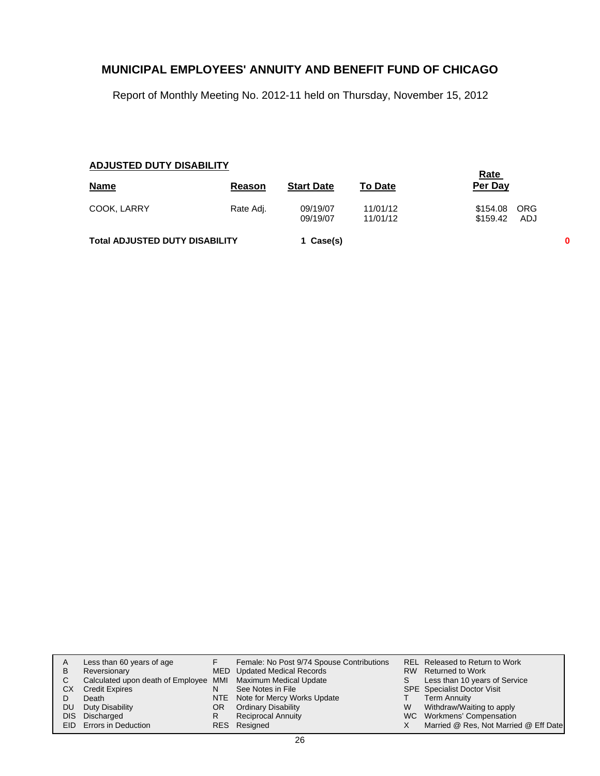Report of Monthly Meeting No. 2012-11 held on Thursday, November 15, 2012

## **ADJUSTED DUTY DISABILITY**

|                                       |           |                      |                      | <u>Rate</u>                     |   |
|---------------------------------------|-----------|----------------------|----------------------|---------------------------------|---|
| <b>Name</b>                           | Reason    | <b>Start Date</b>    | <b>To Date</b>       | Per Day                         |   |
| COOK, LARRY                           | Rate Adj. | 09/19/07<br>09/19/07 | 11/01/12<br>11/01/12 | \$154.08 ORG<br>\$159.42<br>ADJ |   |
| <b>Total ADJUSTED DUTY DISABILITY</b> |           | 1 Case(s)            |                      |                                 | 0 |

|            | Less than 60 years of age                                    |     | Female: No Post 9/74 Spouse Contributions |   | REL Released to Return to Work        |
|------------|--------------------------------------------------------------|-----|-------------------------------------------|---|---------------------------------------|
| в          | Reversionary                                                 |     | <b>MED</b> Updated Medical Records        |   | RW Returned to Work                   |
| С          | Calculated upon death of Employee MMI Maximum Medical Update |     |                                           | S | Less than 10 years of Service         |
| CХ         | <b>Credit Expires</b>                                        | N   | See Notes in File                         |   | <b>SPE</b> Specialist Doctor Visit    |
|            | Death                                                        |     | NTE Note for Mercy Works Update           |   | <b>Term Annuity</b>                   |
| DU         | Duty Disability                                              | OR. | <b>Ordinary Disability</b>                | W | Withdraw/Waiting to apply             |
| <b>DIS</b> | Discharged                                                   | R   | <b>Reciprocal Annuity</b>                 |   | WC Workmens' Compensation             |
|            | <b>EID</b> Errors in Deduction                               | RES | Resigned                                  |   | Married @ Res, Not Married @ Eff Date |
|            |                                                              |     |                                           |   |                                       |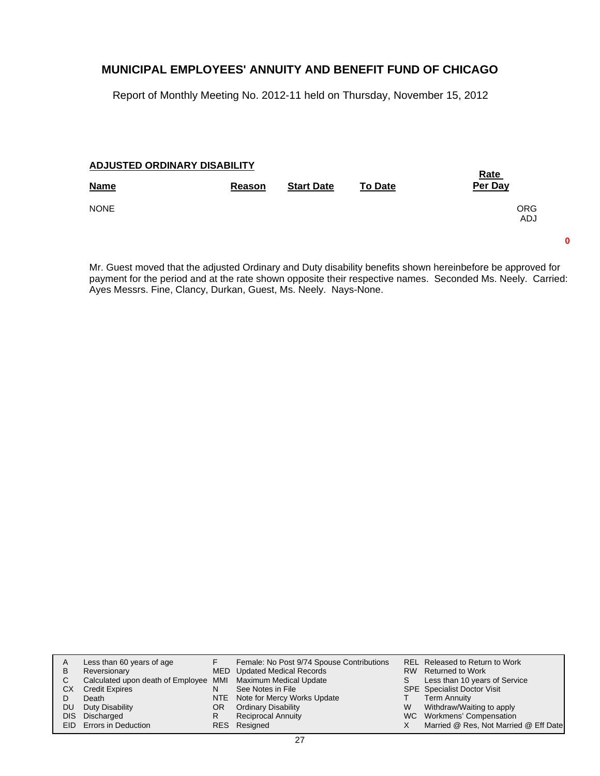Report of Monthly Meeting No. 2012-11 held on Thursday, November 15, 2012

#### **ADJUSTED ORDINARY DISABILITY**

| Reason | <b>Start Date</b> | <b>To Date</b> | <b>Rate</b><br>Per Day |
|--------|-------------------|----------------|------------------------|
|        |                   |                | <b>ORG</b><br>ADJ      |
|        |                   |                |                        |

Mr. Guest moved that the adjusted Ordinary and Duty disability benefits shown hereinbefore be approved for payment for the period and at the rate shown opposite their respective names. Seconded Ms. Neely. Carried: Ayes Messrs. Fine, Clancy, Durkan, Guest, Ms. Neely. Nays-None.

**0**

| A   | Less than 60 years of age                                    |    | Female: No Post 9/74 Spouse Contributions |   | REL Released to Return to Work        |
|-----|--------------------------------------------------------------|----|-------------------------------------------|---|---------------------------------------|
| в   | Reversionary                                                 |    | <b>MED</b> Updated Medical Records        |   | RW Returned to Work                   |
|     | Calculated upon death of Employee MMI Maximum Medical Update |    |                                           |   | Less than 10 years of Service         |
| CХ  | <b>Credit Expires</b>                                        | N  | See Notes in File                         |   | <b>SPE</b> Specialist Doctor Visit    |
|     | Death                                                        |    | NTE Note for Mercy Works Update           |   | <b>Term Annuity</b>                   |
| DU. | Duty Disability                                              | OR | <b>Ordinary Disability</b>                | W | Withdraw/Waiting to apply             |
|     | DIS Discharged                                               | R  | <b>Reciprocal Annuity</b>                 |   | WC Workmens' Compensation             |
|     | EID Errors in Deduction                                      |    | RES Resigned                              |   | Married @ Res, Not Married @ Eff Date |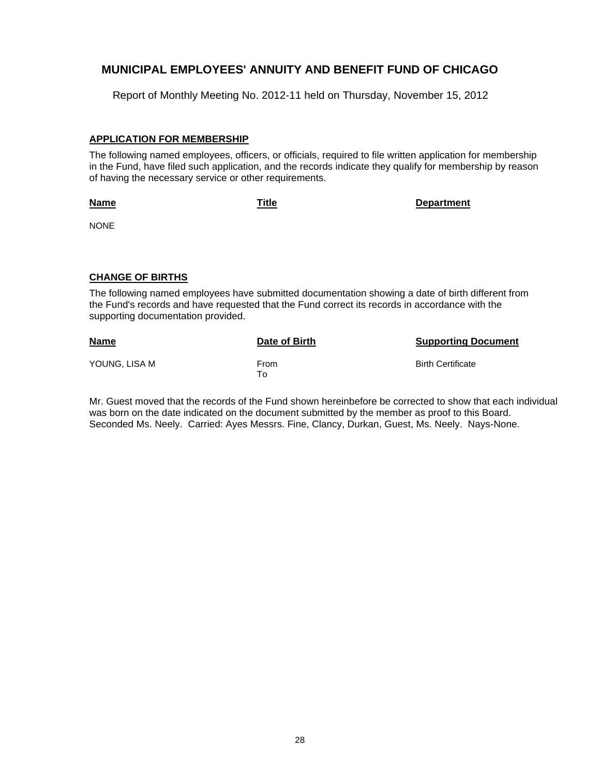Report of Monthly Meeting No. 2012-11 held on Thursday, November 15, 2012

#### **APPLICATION FOR MEMBERSHIP**

The following named employees, officers, or officials, required to file written application for membership in the Fund, have filed such application, and the records indicate they qualify for membership by reason of having the necessary service or other requirements.

**Name**

**Title Department**

NONE

#### **CHANGE OF BIRTHS**

The following named employees have submitted documentation showing a date of birth different from the Fund's records and have requested that the Fund correct its records in accordance with the supporting documentation provided.

| <b>Name</b>   | Date of Birth | <b>Supporting Document</b> |
|---------------|---------------|----------------------------|
| YOUNG, LISA M | From<br>To    | <b>Birth Certificate</b>   |

Mr. Guest moved that the records of the Fund shown hereinbefore be corrected to show that each individual was born on the date indicated on the document submitted by the member as proof to this Board. Seconded Ms. Neely. Carried: Ayes Messrs. Fine, Clancy, Durkan, Guest, Ms. Neely. Nays-None.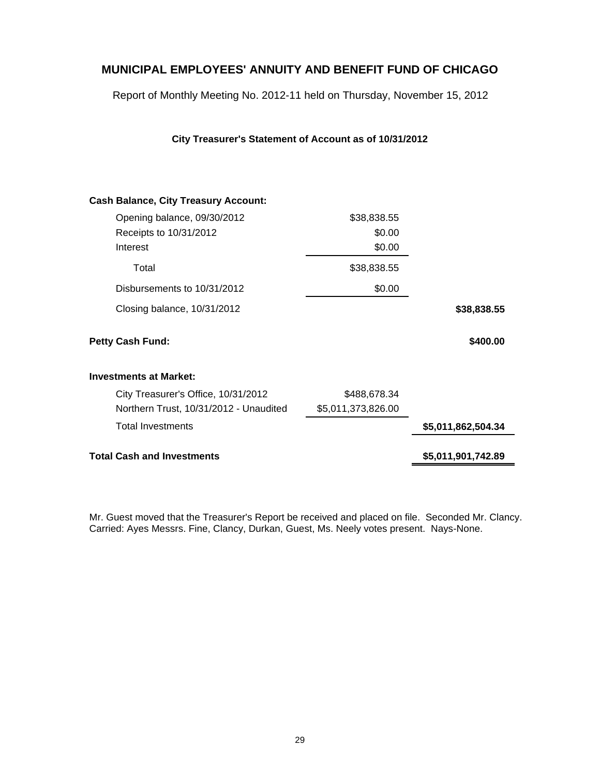Report of Monthly Meeting No. 2012-11 held on Thursday, November 15, 2012

**City Treasurer's Statement of Account as of 10/31/2012**

| City Treasurer's Office, 10/31/2012<br>Northern Trust, 10/31/2012 - Unaudited<br><b>Total Investments</b> | \$488,678.34<br>\$5,011,373,826.00                                                                                                                                                            | \$5,011,862,504.34 |
|-----------------------------------------------------------------------------------------------------------|-----------------------------------------------------------------------------------------------------------------------------------------------------------------------------------------------|--------------------|
|                                                                                                           |                                                                                                                                                                                               |                    |
|                                                                                                           |                                                                                                                                                                                               |                    |
|                                                                                                           |                                                                                                                                                                                               |                    |
| <b>Investments at Market:</b>                                                                             |                                                                                                                                                                                               |                    |
|                                                                                                           |                                                                                                                                                                                               | \$400.00           |
|                                                                                                           |                                                                                                                                                                                               | \$38,838.55        |
|                                                                                                           | \$0.00                                                                                                                                                                                        |                    |
|                                                                                                           | \$38,838.55                                                                                                                                                                                   |                    |
|                                                                                                           | \$0.00                                                                                                                                                                                        |                    |
|                                                                                                           | \$0.00                                                                                                                                                                                        |                    |
|                                                                                                           | \$38,838.55                                                                                                                                                                                   |                    |
|                                                                                                           | <b>Cash Balance, City Treasury Account:</b><br>Opening balance, 09/30/2012<br>Receipts to 10/31/2012<br>Disbursements to 10/31/2012<br>Closing balance, 10/31/2012<br><b>Petty Cash Fund:</b> |                    |

Mr. Guest moved that the Treasurer's Report be received and placed on file. Seconded Mr. Clancy. Carried: Ayes Messrs. Fine, Clancy, Durkan, Guest, Ms. Neely votes present. Nays-None.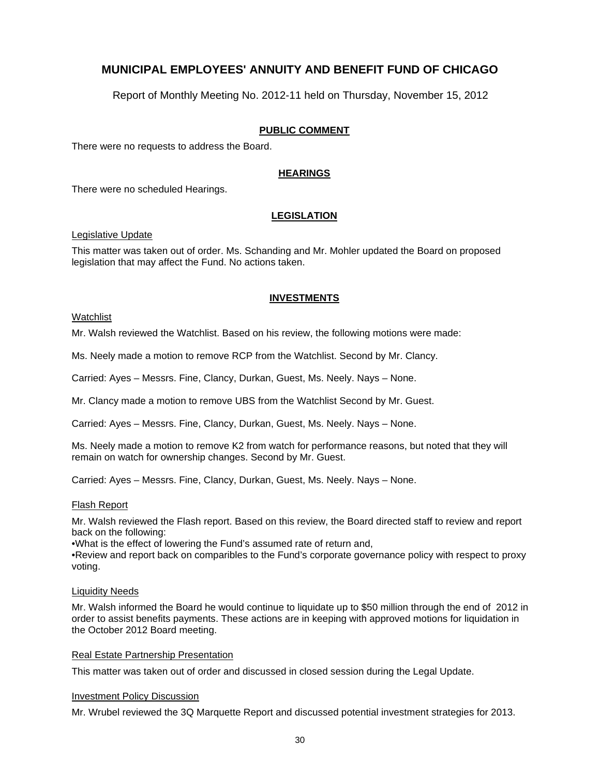Report of Monthly Meeting No. 2012-11 held on Thursday, November 15, 2012

#### **PUBLIC COMMENT**

There were no requests to address the Board.

#### **HEARINGS**

There were no scheduled Hearings.

#### **LEGISLATION**

Legislative Update

This matter was taken out of order. Ms. Schanding and Mr. Mohler updated the Board on proposed legislation that may affect the Fund. No actions taken.

#### **INVESTMENTS**

#### Watchlist

Mr. Walsh reviewed the Watchlist. Based on his review, the following motions were made:

Ms. Neely made a motion to remove RCP from the Watchlist. Second by Mr. Clancy.

Carried: Ayes – Messrs. Fine, Clancy, Durkan, Guest, Ms. Neely. Nays – None.

Mr. Clancy made a motion to remove UBS from the Watchlist Second by Mr. Guest.

Carried: Ayes – Messrs. Fine, Clancy, Durkan, Guest, Ms. Neely. Nays – None.

Ms. Neely made a motion to remove K2 from watch for performance reasons, but noted that they will remain on watch for ownership changes. Second by Mr. Guest.

Carried: Ayes – Messrs. Fine, Clancy, Durkan, Guest, Ms. Neely. Nays – None.

#### Flash Report

Mr. Walsh reviewed the Flash report. Based on this review, the Board directed staff to review and report back on the following:

•What is the effect of lowering the Fund's assumed rate of return and,

•Review and report back on comparibles to the Fund's corporate governance policy with respect to proxy voting.

#### Liquidity Needs

Mr. Walsh informed the Board he would continue to liquidate up to \$50 million through the end of 2012 in order to assist benefits payments. These actions are in keeping with approved motions for liquidation in the October 2012 Board meeting.

#### Real Estate Partnership Presentation

This matter was taken out of order and discussed in closed session during the Legal Update.

#### Investment Policy Discussion

Mr. Wrubel reviewed the 3Q Marquette Report and discussed potential investment strategies for 2013.